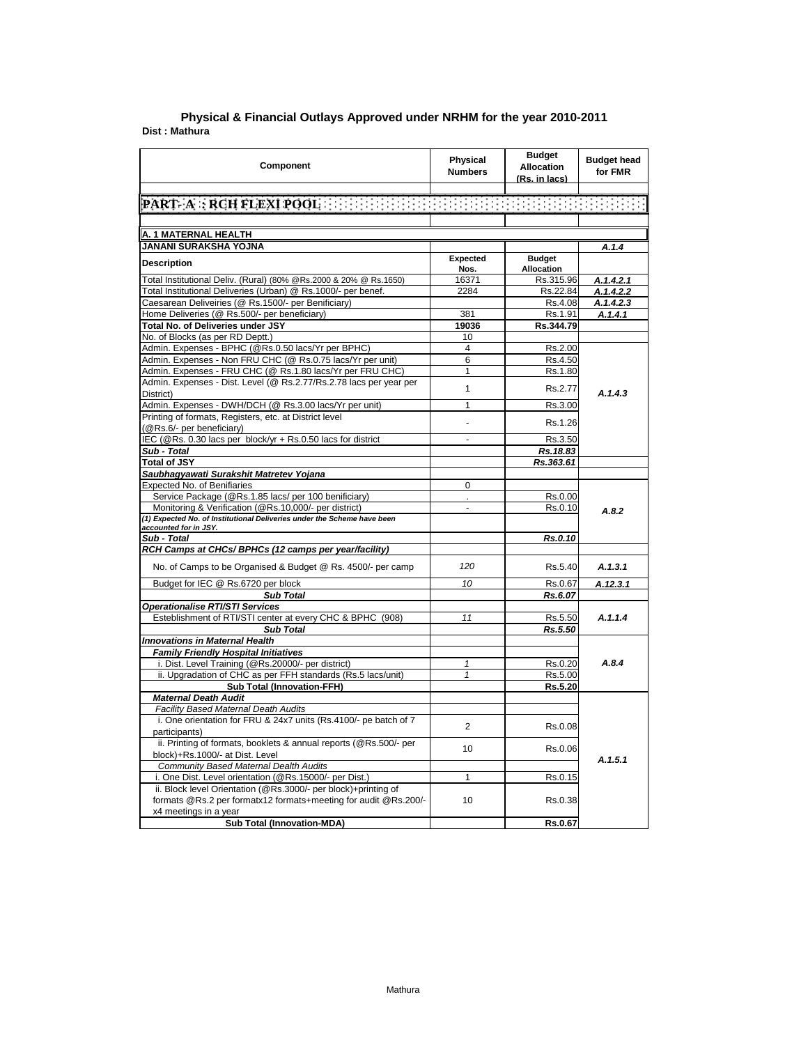|                | Physical & Financial Outlays Approved under NRHM for the year 2010-2011 |  |  |
|----------------|-------------------------------------------------------------------------|--|--|
| Dist : Mathura |                                                                         |  |  |

| <b>Component</b>                                                                | <b>Physical</b><br><b>Numbers</b> | <b>Budget</b><br><b>Allocation</b><br>(Rs. in lacs) | <b>Budget head</b><br>for FMR |
|---------------------------------------------------------------------------------|-----------------------------------|-----------------------------------------------------|-------------------------------|
|                                                                                 |                                   |                                                     |                               |
| PART A : RCH FLEXI POOL AND RESERVED TO THE TERM OF THE REAL                    |                                   |                                                     |                               |
|                                                                                 |                                   |                                                     |                               |
| A. 1 MATERNAL HEALTH                                                            |                                   |                                                     |                               |
|                                                                                 |                                   |                                                     |                               |
| JANANI SURAKSHA YOJNA                                                           | Expected                          | <b>Budget</b>                                       | A.1.4                         |
| <b>Description</b>                                                              | Nos.                              | Allocation                                          |                               |
| Total Institutional Deliv. (Rural) (80% @Rs.2000 & 20% @ Rs.1650)               | 16371                             | Rs.315.96                                           | A.1.4.2.1                     |
| Total Institutional Deliveries (Urban) @ Rs.1000/- per benef.                   | 2284                              | Rs.22.84                                            | A.1.4.2.2                     |
| Caesarean Deliveiries (@ Rs.1500/- per Benificiary)                             |                                   | Rs.4.08                                             | A.1.4.2.3                     |
| Home Deliveries (@ Rs.500/- per beneficiary)                                    | 381                               | Rs.1.91                                             | A.1.4.1                       |
| Total No. of Deliveries under JSY                                               | 19036                             | Rs.344.79                                           |                               |
| No. of Blocks (as per RD Deptt.)                                                | 10                                |                                                     |                               |
| Admin. Expenses - BPHC (@Rs.0.50 lacs/Yr per BPHC)                              | $\overline{4}$                    | Rs.2.00                                             |                               |
| Admin. Expenses - Non FRU CHC (@ Rs.0.75 lacs/Yr per unit)                      | 6                                 | Rs.4.50                                             |                               |
| Admin. Expenses - FRU CHC (@ Rs.1.80 lacs/Yr per FRU CHC)                       | 1                                 | Rs.1.80                                             |                               |
| Admin. Expenses - Dist. Level (@ Rs.2.77/Rs.2.78 lacs per year per<br>District) | $\mathbf{1}$                      | Rs.2.77                                             | A.1.4.3                       |
| Admin. Expenses - DWH/DCH (@ Rs.3.00 lacs/Yr per unit)                          | $\mathbf{1}$                      | Rs.3.00                                             |                               |
| Printing of formats, Registers, etc. at District level                          |                                   |                                                     |                               |
| (@Rs.6/- per beneficiary)                                                       |                                   | Rs.1.26                                             |                               |
| IEC (@Rs. 0.30 lacs per block/yr + Rs.0.50 lacs for district                    | ٠                                 | Rs.3.50                                             |                               |
| Sub - Total                                                                     |                                   | Rs.18.83                                            |                               |
| <b>Total of JSY</b>                                                             |                                   | Rs.363.61                                           |                               |
| Saubhagyawati Surakshit Matretev Yojana                                         |                                   |                                                     |                               |
| <b>Expected No. of Benifiaries</b>                                              | $\mathbf 0$                       |                                                     |                               |
| Service Package (@Rs.1.85 lacs/ per 100 benificiary)                            |                                   | Rs.0.00                                             |                               |
| Monitoring & Verification (@Rs.10,000/- per district)                           | $\overline{a}$                    | Rs.0.10                                             | A.8.2                         |
| (1) Expected No. of Institutional Deliveries under the Scheme have been         |                                   |                                                     |                               |
| accounted for in JSY.                                                           |                                   |                                                     |                               |
| Sub - Total                                                                     |                                   | Rs.0.10                                             |                               |
| RCH Camps at CHCs/ BPHCs (12 camps per year/facility)                           |                                   |                                                     |                               |
| No. of Camps to be Organised & Budget @ Rs. 4500/- per camp                     | 120                               | Rs.5.40                                             | A.1.3.1                       |
| Budget for IEC @ Rs.6720 per block                                              | 10                                | Rs.0.67                                             | A.12.3.1                      |
| <b>Sub Total</b>                                                                |                                   | Rs.6.07                                             |                               |
| <b>Operationalise RTI/STI Services</b>                                          |                                   |                                                     |                               |
| Esteblishment of RTI/STI center at every CHC & BPHC (908)                       | 11                                | Rs.5.50                                             | A.1.1.4                       |
| <b>Sub Total</b>                                                                |                                   | Rs.5.50                                             |                               |
| <b>Innovations in Maternal Health</b>                                           |                                   |                                                     |                               |
| <b>Family Friendly Hospital Initiatives</b>                                     |                                   |                                                     |                               |
| i. Dist. Level Training (@Rs.20000/- per district)                              | $\mathbf{1}$                      | Rs.0.20                                             | A.8.4                         |
| ii. Upgradation of CHC as per FFH standards (Rs.5 lacs/unit)                    | $\mathbf{1}$                      | Rs.5.00                                             |                               |
| <b>Sub Total (Innovation-FFH)</b>                                               |                                   | Rs.5.20                                             |                               |
| <b>Maternal Death Audit</b><br>Facility Based Maternal Death Audits             |                                   |                                                     |                               |
| i. One orientation for FRU & 24x7 units (Rs.4100/- pe batch of 7                |                                   |                                                     |                               |
| participants)                                                                   | $\overline{2}$                    | Rs.0.08                                             |                               |
| ii. Printing of formats, booklets & annual reports (@Rs.500/- per               |                                   |                                                     |                               |
| block)+Rs.1000/- at Dist. Level                                                 | 10                                | Rs.0.06                                             |                               |
| <b>Community Based Maternal Dealth Audits</b>                                   |                                   |                                                     | A.1.5.1                       |
| i. One Dist. Level orientation (@Rs.15000/- per Dist.)                          | $\mathbf{1}$                      | Rs.0.15                                             |                               |
| ii. Block level Orientation (@Rs.3000/- per block)+printing of                  |                                   |                                                     |                               |
| formats @Rs.2 per formatx12 formats+meeting for audit @Rs.200/-                 | 10                                | Rs.0.38                                             |                               |
| x4 meetings in a year                                                           |                                   |                                                     |                               |
| <b>Sub Total (Innovation-MDA)</b>                                               |                                   | Rs.0.67                                             |                               |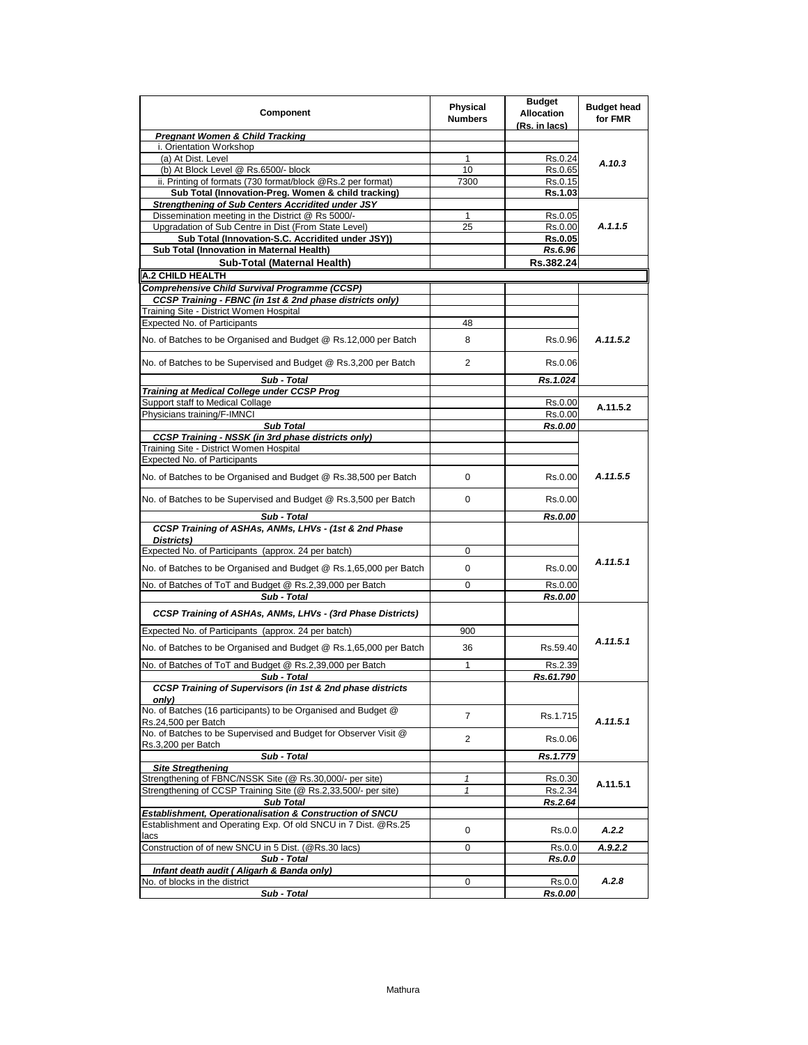| <b>Pregnant Women &amp; Child Tracking</b><br>i. Orientation Workshop<br>(a) At Dist. Level<br>Rs.0.24<br>1<br>(b) At Block Level @ Rs.6500/- block<br>Rs.0.65<br>10<br>ii. Printing of formats (730 format/block @Rs.2 per format)<br>7300<br>Rs.0.15<br>Sub Total (Innovation-Preg. Women & child tracking)<br>Rs.1.03<br>Strengthening of Sub Centers Accridited under JSY<br>Dissemination meeting in the District @ Rs 5000/-<br>Rs.0.05<br>1<br>Upgradation of Sub Centre in Dist (From State Level)<br>25<br>Rs.0.00<br>Sub Total (Innovation-S.C. Accridited under JSY))<br><b>Rs.0.05</b><br>Sub Total (Innovation in Maternal Health)<br>Rs.6.96<br>Sub-Total (Maternal Health)<br>Rs.382.24<br>A.2 CHILD HEALTH<br><b>Comprehensive Child Survival Programme (CCSP)</b><br>CCSP Training - FBNC (in 1st & 2nd phase districts only)<br>Training Site - District Women Hospital<br><b>Expected No. of Participants</b><br>48<br>No. of Batches to be Organised and Budget @ Rs.12,000 per Batch<br>8<br>Rs.0.96<br>No. of Batches to be Supervised and Budget @ Rs.3,200 per Batch<br>2<br>Rs.0.06<br>Sub - Total<br>Rs.1.024<br>Training at Medical College under CCSP Prog<br>Support staff to Medical Collage<br>Rs.0.00<br>Physicians training/F-IMNCI<br>Rs.0.00<br>Rs.0.00<br><b>Sub Total</b><br><b>CCSP Training - NSSK (in 3rd phase districts only)</b><br>Training Site - District Women Hospital<br>Expected No. of Participants<br>No. of Batches to be Organised and Budget @ Rs.38,500 per Batch<br>Rs.0.00<br>0<br>No. of Batches to be Supervised and Budget @ Rs.3,500 per Batch<br>0<br>Rs.0.00<br>Sub - Total<br>Rs.0.00<br>CCSP Training of ASHAs, ANMs, LHVs - (1st & 2nd Phase<br>Districts)<br>Expected No. of Participants (approx. 24 per batch)<br>0<br>No. of Batches to be Organised and Budget @ Rs.1,65,000 per Batch<br>0<br>Rs.0.00<br>0<br>No. of Batches of ToT and Budget @ Rs.2,39,000 per Batch<br>Rs.0.00<br>Sub - Total<br><b>Rs.0.00</b><br>CCSP Training of ASHAs, ANMs, LHVs - (3rd Phase Districts)<br>Expected No. of Participants (approx. 24 per batch)<br>900<br>No. of Batches to be Organised and Budget @ Rs.1,65,000 per Batch<br>Rs.59.40<br>36<br>No. of Batches of ToT and Budget @ Rs.2,39,000 per Batch<br>1<br>Rs.2.39<br>Rs.61.790<br>Sub - Total<br><b>CCSP Training of Supervisors (in 1st &amp; 2nd phase districts</b><br>only)<br>No. of Batches (16 participants) to be Organised and Budget @<br>7<br>Rs.1.715<br>Rs.24,500 per Batch<br>No. of Batches to be Supervised and Budget for Observer Visit @<br>2<br>Rs.0.06<br>Rs.3,200 per Batch<br>Sub - Total<br>Rs.1.779<br><b>Site Stregthening</b><br>Strengthening of FBNC/NSSK Site (@ Rs.30,000/- per site)<br>1<br>Rs.0.30<br>Strengthening of CCSP Training Site (@ Rs.2,33,500/- per site)<br>$\mathbf{1}$<br>Rs.2.34<br><b>Sub Total</b><br>Rs.2.64<br>Establishment, Operationalisation & Construction of SNCU<br>Establishment and Operating Exp. Of old SNCU in 7 Dist. @Rs.25<br>0<br>Rs.0.0<br>lacs<br>Construction of of new SNCU in 5 Dist. (@Rs.30 lacs)<br>0<br>Rs.0.0<br>Sub - Total<br>Rs.0.0 | Component                                 | <b>Budget</b><br><b>Physical</b><br><b>Allocation</b><br><b>Numbers</b><br>(Rs. in lacs) | <b>Budget head</b><br>for FMR |
|------------------------------------------------------------------------------------------------------------------------------------------------------------------------------------------------------------------------------------------------------------------------------------------------------------------------------------------------------------------------------------------------------------------------------------------------------------------------------------------------------------------------------------------------------------------------------------------------------------------------------------------------------------------------------------------------------------------------------------------------------------------------------------------------------------------------------------------------------------------------------------------------------------------------------------------------------------------------------------------------------------------------------------------------------------------------------------------------------------------------------------------------------------------------------------------------------------------------------------------------------------------------------------------------------------------------------------------------------------------------------------------------------------------------------------------------------------------------------------------------------------------------------------------------------------------------------------------------------------------------------------------------------------------------------------------------------------------------------------------------------------------------------------------------------------------------------------------------------------------------------------------------------------------------------------------------------------------------------------------------------------------------------------------------------------------------------------------------------------------------------------------------------------------------------------------------------------------------------------------------------------------------------------------------------------------------------------------------------------------------------------------------------------------------------------------------------------------------------------------------------------------------------------------------------------------------------------------------------------------------------------------------------------------------------------------------------------------------------------------------------------------------------------------------------------------------------------------------------------------------------------------------------------------------------------------------------------------------------------------------------------------------------------------------------------------------------------------------------------------------------------------------|-------------------------------------------|------------------------------------------------------------------------------------------|-------------------------------|
|                                                                                                                                                                                                                                                                                                                                                                                                                                                                                                                                                                                                                                                                                                                                                                                                                                                                                                                                                                                                                                                                                                                                                                                                                                                                                                                                                                                                                                                                                                                                                                                                                                                                                                                                                                                                                                                                                                                                                                                                                                                                                                                                                                                                                                                                                                                                                                                                                                                                                                                                                                                                                                                                                                                                                                                                                                                                                                                                                                                                                                                                                                                                                |                                           |                                                                                          |                               |
|                                                                                                                                                                                                                                                                                                                                                                                                                                                                                                                                                                                                                                                                                                                                                                                                                                                                                                                                                                                                                                                                                                                                                                                                                                                                                                                                                                                                                                                                                                                                                                                                                                                                                                                                                                                                                                                                                                                                                                                                                                                                                                                                                                                                                                                                                                                                                                                                                                                                                                                                                                                                                                                                                                                                                                                                                                                                                                                                                                                                                                                                                                                                                |                                           |                                                                                          |                               |
|                                                                                                                                                                                                                                                                                                                                                                                                                                                                                                                                                                                                                                                                                                                                                                                                                                                                                                                                                                                                                                                                                                                                                                                                                                                                                                                                                                                                                                                                                                                                                                                                                                                                                                                                                                                                                                                                                                                                                                                                                                                                                                                                                                                                                                                                                                                                                                                                                                                                                                                                                                                                                                                                                                                                                                                                                                                                                                                                                                                                                                                                                                                                                |                                           |                                                                                          | A.10.3                        |
|                                                                                                                                                                                                                                                                                                                                                                                                                                                                                                                                                                                                                                                                                                                                                                                                                                                                                                                                                                                                                                                                                                                                                                                                                                                                                                                                                                                                                                                                                                                                                                                                                                                                                                                                                                                                                                                                                                                                                                                                                                                                                                                                                                                                                                                                                                                                                                                                                                                                                                                                                                                                                                                                                                                                                                                                                                                                                                                                                                                                                                                                                                                                                |                                           |                                                                                          |                               |
|                                                                                                                                                                                                                                                                                                                                                                                                                                                                                                                                                                                                                                                                                                                                                                                                                                                                                                                                                                                                                                                                                                                                                                                                                                                                                                                                                                                                                                                                                                                                                                                                                                                                                                                                                                                                                                                                                                                                                                                                                                                                                                                                                                                                                                                                                                                                                                                                                                                                                                                                                                                                                                                                                                                                                                                                                                                                                                                                                                                                                                                                                                                                                |                                           |                                                                                          |                               |
|                                                                                                                                                                                                                                                                                                                                                                                                                                                                                                                                                                                                                                                                                                                                                                                                                                                                                                                                                                                                                                                                                                                                                                                                                                                                                                                                                                                                                                                                                                                                                                                                                                                                                                                                                                                                                                                                                                                                                                                                                                                                                                                                                                                                                                                                                                                                                                                                                                                                                                                                                                                                                                                                                                                                                                                                                                                                                                                                                                                                                                                                                                                                                |                                           |                                                                                          |                               |
|                                                                                                                                                                                                                                                                                                                                                                                                                                                                                                                                                                                                                                                                                                                                                                                                                                                                                                                                                                                                                                                                                                                                                                                                                                                                                                                                                                                                                                                                                                                                                                                                                                                                                                                                                                                                                                                                                                                                                                                                                                                                                                                                                                                                                                                                                                                                                                                                                                                                                                                                                                                                                                                                                                                                                                                                                                                                                                                                                                                                                                                                                                                                                |                                           |                                                                                          |                               |
|                                                                                                                                                                                                                                                                                                                                                                                                                                                                                                                                                                                                                                                                                                                                                                                                                                                                                                                                                                                                                                                                                                                                                                                                                                                                                                                                                                                                                                                                                                                                                                                                                                                                                                                                                                                                                                                                                                                                                                                                                                                                                                                                                                                                                                                                                                                                                                                                                                                                                                                                                                                                                                                                                                                                                                                                                                                                                                                                                                                                                                                                                                                                                |                                           |                                                                                          |                               |
|                                                                                                                                                                                                                                                                                                                                                                                                                                                                                                                                                                                                                                                                                                                                                                                                                                                                                                                                                                                                                                                                                                                                                                                                                                                                                                                                                                                                                                                                                                                                                                                                                                                                                                                                                                                                                                                                                                                                                                                                                                                                                                                                                                                                                                                                                                                                                                                                                                                                                                                                                                                                                                                                                                                                                                                                                                                                                                                                                                                                                                                                                                                                                |                                           |                                                                                          | A.1.1.5                       |
|                                                                                                                                                                                                                                                                                                                                                                                                                                                                                                                                                                                                                                                                                                                                                                                                                                                                                                                                                                                                                                                                                                                                                                                                                                                                                                                                                                                                                                                                                                                                                                                                                                                                                                                                                                                                                                                                                                                                                                                                                                                                                                                                                                                                                                                                                                                                                                                                                                                                                                                                                                                                                                                                                                                                                                                                                                                                                                                                                                                                                                                                                                                                                |                                           |                                                                                          |                               |
|                                                                                                                                                                                                                                                                                                                                                                                                                                                                                                                                                                                                                                                                                                                                                                                                                                                                                                                                                                                                                                                                                                                                                                                                                                                                                                                                                                                                                                                                                                                                                                                                                                                                                                                                                                                                                                                                                                                                                                                                                                                                                                                                                                                                                                                                                                                                                                                                                                                                                                                                                                                                                                                                                                                                                                                                                                                                                                                                                                                                                                                                                                                                                |                                           |                                                                                          |                               |
|                                                                                                                                                                                                                                                                                                                                                                                                                                                                                                                                                                                                                                                                                                                                                                                                                                                                                                                                                                                                                                                                                                                                                                                                                                                                                                                                                                                                                                                                                                                                                                                                                                                                                                                                                                                                                                                                                                                                                                                                                                                                                                                                                                                                                                                                                                                                                                                                                                                                                                                                                                                                                                                                                                                                                                                                                                                                                                                                                                                                                                                                                                                                                |                                           |                                                                                          |                               |
|                                                                                                                                                                                                                                                                                                                                                                                                                                                                                                                                                                                                                                                                                                                                                                                                                                                                                                                                                                                                                                                                                                                                                                                                                                                                                                                                                                                                                                                                                                                                                                                                                                                                                                                                                                                                                                                                                                                                                                                                                                                                                                                                                                                                                                                                                                                                                                                                                                                                                                                                                                                                                                                                                                                                                                                                                                                                                                                                                                                                                                                                                                                                                |                                           |                                                                                          |                               |
|                                                                                                                                                                                                                                                                                                                                                                                                                                                                                                                                                                                                                                                                                                                                                                                                                                                                                                                                                                                                                                                                                                                                                                                                                                                                                                                                                                                                                                                                                                                                                                                                                                                                                                                                                                                                                                                                                                                                                                                                                                                                                                                                                                                                                                                                                                                                                                                                                                                                                                                                                                                                                                                                                                                                                                                                                                                                                                                                                                                                                                                                                                                                                |                                           |                                                                                          |                               |
|                                                                                                                                                                                                                                                                                                                                                                                                                                                                                                                                                                                                                                                                                                                                                                                                                                                                                                                                                                                                                                                                                                                                                                                                                                                                                                                                                                                                                                                                                                                                                                                                                                                                                                                                                                                                                                                                                                                                                                                                                                                                                                                                                                                                                                                                                                                                                                                                                                                                                                                                                                                                                                                                                                                                                                                                                                                                                                                                                                                                                                                                                                                                                |                                           |                                                                                          |                               |
|                                                                                                                                                                                                                                                                                                                                                                                                                                                                                                                                                                                                                                                                                                                                                                                                                                                                                                                                                                                                                                                                                                                                                                                                                                                                                                                                                                                                                                                                                                                                                                                                                                                                                                                                                                                                                                                                                                                                                                                                                                                                                                                                                                                                                                                                                                                                                                                                                                                                                                                                                                                                                                                                                                                                                                                                                                                                                                                                                                                                                                                                                                                                                |                                           |                                                                                          |                               |
|                                                                                                                                                                                                                                                                                                                                                                                                                                                                                                                                                                                                                                                                                                                                                                                                                                                                                                                                                                                                                                                                                                                                                                                                                                                                                                                                                                                                                                                                                                                                                                                                                                                                                                                                                                                                                                                                                                                                                                                                                                                                                                                                                                                                                                                                                                                                                                                                                                                                                                                                                                                                                                                                                                                                                                                                                                                                                                                                                                                                                                                                                                                                                |                                           |                                                                                          |                               |
|                                                                                                                                                                                                                                                                                                                                                                                                                                                                                                                                                                                                                                                                                                                                                                                                                                                                                                                                                                                                                                                                                                                                                                                                                                                                                                                                                                                                                                                                                                                                                                                                                                                                                                                                                                                                                                                                                                                                                                                                                                                                                                                                                                                                                                                                                                                                                                                                                                                                                                                                                                                                                                                                                                                                                                                                                                                                                                                                                                                                                                                                                                                                                |                                           |                                                                                          | A.11.5.2                      |
|                                                                                                                                                                                                                                                                                                                                                                                                                                                                                                                                                                                                                                                                                                                                                                                                                                                                                                                                                                                                                                                                                                                                                                                                                                                                                                                                                                                                                                                                                                                                                                                                                                                                                                                                                                                                                                                                                                                                                                                                                                                                                                                                                                                                                                                                                                                                                                                                                                                                                                                                                                                                                                                                                                                                                                                                                                                                                                                                                                                                                                                                                                                                                |                                           |                                                                                          |                               |
|                                                                                                                                                                                                                                                                                                                                                                                                                                                                                                                                                                                                                                                                                                                                                                                                                                                                                                                                                                                                                                                                                                                                                                                                                                                                                                                                                                                                                                                                                                                                                                                                                                                                                                                                                                                                                                                                                                                                                                                                                                                                                                                                                                                                                                                                                                                                                                                                                                                                                                                                                                                                                                                                                                                                                                                                                                                                                                                                                                                                                                                                                                                                                |                                           |                                                                                          |                               |
|                                                                                                                                                                                                                                                                                                                                                                                                                                                                                                                                                                                                                                                                                                                                                                                                                                                                                                                                                                                                                                                                                                                                                                                                                                                                                                                                                                                                                                                                                                                                                                                                                                                                                                                                                                                                                                                                                                                                                                                                                                                                                                                                                                                                                                                                                                                                                                                                                                                                                                                                                                                                                                                                                                                                                                                                                                                                                                                                                                                                                                                                                                                                                |                                           |                                                                                          |                               |
|                                                                                                                                                                                                                                                                                                                                                                                                                                                                                                                                                                                                                                                                                                                                                                                                                                                                                                                                                                                                                                                                                                                                                                                                                                                                                                                                                                                                                                                                                                                                                                                                                                                                                                                                                                                                                                                                                                                                                                                                                                                                                                                                                                                                                                                                                                                                                                                                                                                                                                                                                                                                                                                                                                                                                                                                                                                                                                                                                                                                                                                                                                                                                |                                           |                                                                                          |                               |
|                                                                                                                                                                                                                                                                                                                                                                                                                                                                                                                                                                                                                                                                                                                                                                                                                                                                                                                                                                                                                                                                                                                                                                                                                                                                                                                                                                                                                                                                                                                                                                                                                                                                                                                                                                                                                                                                                                                                                                                                                                                                                                                                                                                                                                                                                                                                                                                                                                                                                                                                                                                                                                                                                                                                                                                                                                                                                                                                                                                                                                                                                                                                                |                                           |                                                                                          | A.11.5.2                      |
|                                                                                                                                                                                                                                                                                                                                                                                                                                                                                                                                                                                                                                                                                                                                                                                                                                                                                                                                                                                                                                                                                                                                                                                                                                                                                                                                                                                                                                                                                                                                                                                                                                                                                                                                                                                                                                                                                                                                                                                                                                                                                                                                                                                                                                                                                                                                                                                                                                                                                                                                                                                                                                                                                                                                                                                                                                                                                                                                                                                                                                                                                                                                                |                                           |                                                                                          |                               |
|                                                                                                                                                                                                                                                                                                                                                                                                                                                                                                                                                                                                                                                                                                                                                                                                                                                                                                                                                                                                                                                                                                                                                                                                                                                                                                                                                                                                                                                                                                                                                                                                                                                                                                                                                                                                                                                                                                                                                                                                                                                                                                                                                                                                                                                                                                                                                                                                                                                                                                                                                                                                                                                                                                                                                                                                                                                                                                                                                                                                                                                                                                                                                |                                           |                                                                                          |                               |
|                                                                                                                                                                                                                                                                                                                                                                                                                                                                                                                                                                                                                                                                                                                                                                                                                                                                                                                                                                                                                                                                                                                                                                                                                                                                                                                                                                                                                                                                                                                                                                                                                                                                                                                                                                                                                                                                                                                                                                                                                                                                                                                                                                                                                                                                                                                                                                                                                                                                                                                                                                                                                                                                                                                                                                                                                                                                                                                                                                                                                                                                                                                                                |                                           |                                                                                          |                               |
|                                                                                                                                                                                                                                                                                                                                                                                                                                                                                                                                                                                                                                                                                                                                                                                                                                                                                                                                                                                                                                                                                                                                                                                                                                                                                                                                                                                                                                                                                                                                                                                                                                                                                                                                                                                                                                                                                                                                                                                                                                                                                                                                                                                                                                                                                                                                                                                                                                                                                                                                                                                                                                                                                                                                                                                                                                                                                                                                                                                                                                                                                                                                                |                                           |                                                                                          |                               |
|                                                                                                                                                                                                                                                                                                                                                                                                                                                                                                                                                                                                                                                                                                                                                                                                                                                                                                                                                                                                                                                                                                                                                                                                                                                                                                                                                                                                                                                                                                                                                                                                                                                                                                                                                                                                                                                                                                                                                                                                                                                                                                                                                                                                                                                                                                                                                                                                                                                                                                                                                                                                                                                                                                                                                                                                                                                                                                                                                                                                                                                                                                                                                |                                           |                                                                                          |                               |
|                                                                                                                                                                                                                                                                                                                                                                                                                                                                                                                                                                                                                                                                                                                                                                                                                                                                                                                                                                                                                                                                                                                                                                                                                                                                                                                                                                                                                                                                                                                                                                                                                                                                                                                                                                                                                                                                                                                                                                                                                                                                                                                                                                                                                                                                                                                                                                                                                                                                                                                                                                                                                                                                                                                                                                                                                                                                                                                                                                                                                                                                                                                                                |                                           |                                                                                          | A.11.5.5                      |
|                                                                                                                                                                                                                                                                                                                                                                                                                                                                                                                                                                                                                                                                                                                                                                                                                                                                                                                                                                                                                                                                                                                                                                                                                                                                                                                                                                                                                                                                                                                                                                                                                                                                                                                                                                                                                                                                                                                                                                                                                                                                                                                                                                                                                                                                                                                                                                                                                                                                                                                                                                                                                                                                                                                                                                                                                                                                                                                                                                                                                                                                                                                                                |                                           |                                                                                          |                               |
|                                                                                                                                                                                                                                                                                                                                                                                                                                                                                                                                                                                                                                                                                                                                                                                                                                                                                                                                                                                                                                                                                                                                                                                                                                                                                                                                                                                                                                                                                                                                                                                                                                                                                                                                                                                                                                                                                                                                                                                                                                                                                                                                                                                                                                                                                                                                                                                                                                                                                                                                                                                                                                                                                                                                                                                                                                                                                                                                                                                                                                                                                                                                                |                                           |                                                                                          |                               |
|                                                                                                                                                                                                                                                                                                                                                                                                                                                                                                                                                                                                                                                                                                                                                                                                                                                                                                                                                                                                                                                                                                                                                                                                                                                                                                                                                                                                                                                                                                                                                                                                                                                                                                                                                                                                                                                                                                                                                                                                                                                                                                                                                                                                                                                                                                                                                                                                                                                                                                                                                                                                                                                                                                                                                                                                                                                                                                                                                                                                                                                                                                                                                |                                           |                                                                                          |                               |
|                                                                                                                                                                                                                                                                                                                                                                                                                                                                                                                                                                                                                                                                                                                                                                                                                                                                                                                                                                                                                                                                                                                                                                                                                                                                                                                                                                                                                                                                                                                                                                                                                                                                                                                                                                                                                                                                                                                                                                                                                                                                                                                                                                                                                                                                                                                                                                                                                                                                                                                                                                                                                                                                                                                                                                                                                                                                                                                                                                                                                                                                                                                                                |                                           |                                                                                          |                               |
|                                                                                                                                                                                                                                                                                                                                                                                                                                                                                                                                                                                                                                                                                                                                                                                                                                                                                                                                                                                                                                                                                                                                                                                                                                                                                                                                                                                                                                                                                                                                                                                                                                                                                                                                                                                                                                                                                                                                                                                                                                                                                                                                                                                                                                                                                                                                                                                                                                                                                                                                                                                                                                                                                                                                                                                                                                                                                                                                                                                                                                                                                                                                                |                                           |                                                                                          | A.11.5.1                      |
|                                                                                                                                                                                                                                                                                                                                                                                                                                                                                                                                                                                                                                                                                                                                                                                                                                                                                                                                                                                                                                                                                                                                                                                                                                                                                                                                                                                                                                                                                                                                                                                                                                                                                                                                                                                                                                                                                                                                                                                                                                                                                                                                                                                                                                                                                                                                                                                                                                                                                                                                                                                                                                                                                                                                                                                                                                                                                                                                                                                                                                                                                                                                                |                                           |                                                                                          |                               |
|                                                                                                                                                                                                                                                                                                                                                                                                                                                                                                                                                                                                                                                                                                                                                                                                                                                                                                                                                                                                                                                                                                                                                                                                                                                                                                                                                                                                                                                                                                                                                                                                                                                                                                                                                                                                                                                                                                                                                                                                                                                                                                                                                                                                                                                                                                                                                                                                                                                                                                                                                                                                                                                                                                                                                                                                                                                                                                                                                                                                                                                                                                                                                |                                           |                                                                                          |                               |
|                                                                                                                                                                                                                                                                                                                                                                                                                                                                                                                                                                                                                                                                                                                                                                                                                                                                                                                                                                                                                                                                                                                                                                                                                                                                                                                                                                                                                                                                                                                                                                                                                                                                                                                                                                                                                                                                                                                                                                                                                                                                                                                                                                                                                                                                                                                                                                                                                                                                                                                                                                                                                                                                                                                                                                                                                                                                                                                                                                                                                                                                                                                                                |                                           |                                                                                          |                               |
|                                                                                                                                                                                                                                                                                                                                                                                                                                                                                                                                                                                                                                                                                                                                                                                                                                                                                                                                                                                                                                                                                                                                                                                                                                                                                                                                                                                                                                                                                                                                                                                                                                                                                                                                                                                                                                                                                                                                                                                                                                                                                                                                                                                                                                                                                                                                                                                                                                                                                                                                                                                                                                                                                                                                                                                                                                                                                                                                                                                                                                                                                                                                                |                                           |                                                                                          |                               |
|                                                                                                                                                                                                                                                                                                                                                                                                                                                                                                                                                                                                                                                                                                                                                                                                                                                                                                                                                                                                                                                                                                                                                                                                                                                                                                                                                                                                                                                                                                                                                                                                                                                                                                                                                                                                                                                                                                                                                                                                                                                                                                                                                                                                                                                                                                                                                                                                                                                                                                                                                                                                                                                                                                                                                                                                                                                                                                                                                                                                                                                                                                                                                |                                           |                                                                                          |                               |
|                                                                                                                                                                                                                                                                                                                                                                                                                                                                                                                                                                                                                                                                                                                                                                                                                                                                                                                                                                                                                                                                                                                                                                                                                                                                                                                                                                                                                                                                                                                                                                                                                                                                                                                                                                                                                                                                                                                                                                                                                                                                                                                                                                                                                                                                                                                                                                                                                                                                                                                                                                                                                                                                                                                                                                                                                                                                                                                                                                                                                                                                                                                                                |                                           |                                                                                          | A.11.5.1                      |
|                                                                                                                                                                                                                                                                                                                                                                                                                                                                                                                                                                                                                                                                                                                                                                                                                                                                                                                                                                                                                                                                                                                                                                                                                                                                                                                                                                                                                                                                                                                                                                                                                                                                                                                                                                                                                                                                                                                                                                                                                                                                                                                                                                                                                                                                                                                                                                                                                                                                                                                                                                                                                                                                                                                                                                                                                                                                                                                                                                                                                                                                                                                                                |                                           |                                                                                          |                               |
|                                                                                                                                                                                                                                                                                                                                                                                                                                                                                                                                                                                                                                                                                                                                                                                                                                                                                                                                                                                                                                                                                                                                                                                                                                                                                                                                                                                                                                                                                                                                                                                                                                                                                                                                                                                                                                                                                                                                                                                                                                                                                                                                                                                                                                                                                                                                                                                                                                                                                                                                                                                                                                                                                                                                                                                                                                                                                                                                                                                                                                                                                                                                                |                                           |                                                                                          |                               |
|                                                                                                                                                                                                                                                                                                                                                                                                                                                                                                                                                                                                                                                                                                                                                                                                                                                                                                                                                                                                                                                                                                                                                                                                                                                                                                                                                                                                                                                                                                                                                                                                                                                                                                                                                                                                                                                                                                                                                                                                                                                                                                                                                                                                                                                                                                                                                                                                                                                                                                                                                                                                                                                                                                                                                                                                                                                                                                                                                                                                                                                                                                                                                |                                           |                                                                                          |                               |
|                                                                                                                                                                                                                                                                                                                                                                                                                                                                                                                                                                                                                                                                                                                                                                                                                                                                                                                                                                                                                                                                                                                                                                                                                                                                                                                                                                                                                                                                                                                                                                                                                                                                                                                                                                                                                                                                                                                                                                                                                                                                                                                                                                                                                                                                                                                                                                                                                                                                                                                                                                                                                                                                                                                                                                                                                                                                                                                                                                                                                                                                                                                                                |                                           |                                                                                          | A.11.5.1                      |
|                                                                                                                                                                                                                                                                                                                                                                                                                                                                                                                                                                                                                                                                                                                                                                                                                                                                                                                                                                                                                                                                                                                                                                                                                                                                                                                                                                                                                                                                                                                                                                                                                                                                                                                                                                                                                                                                                                                                                                                                                                                                                                                                                                                                                                                                                                                                                                                                                                                                                                                                                                                                                                                                                                                                                                                                                                                                                                                                                                                                                                                                                                                                                |                                           |                                                                                          |                               |
|                                                                                                                                                                                                                                                                                                                                                                                                                                                                                                                                                                                                                                                                                                                                                                                                                                                                                                                                                                                                                                                                                                                                                                                                                                                                                                                                                                                                                                                                                                                                                                                                                                                                                                                                                                                                                                                                                                                                                                                                                                                                                                                                                                                                                                                                                                                                                                                                                                                                                                                                                                                                                                                                                                                                                                                                                                                                                                                                                                                                                                                                                                                                                |                                           |                                                                                          |                               |
|                                                                                                                                                                                                                                                                                                                                                                                                                                                                                                                                                                                                                                                                                                                                                                                                                                                                                                                                                                                                                                                                                                                                                                                                                                                                                                                                                                                                                                                                                                                                                                                                                                                                                                                                                                                                                                                                                                                                                                                                                                                                                                                                                                                                                                                                                                                                                                                                                                                                                                                                                                                                                                                                                                                                                                                                                                                                                                                                                                                                                                                                                                                                                |                                           |                                                                                          |                               |
|                                                                                                                                                                                                                                                                                                                                                                                                                                                                                                                                                                                                                                                                                                                                                                                                                                                                                                                                                                                                                                                                                                                                                                                                                                                                                                                                                                                                                                                                                                                                                                                                                                                                                                                                                                                                                                                                                                                                                                                                                                                                                                                                                                                                                                                                                                                                                                                                                                                                                                                                                                                                                                                                                                                                                                                                                                                                                                                                                                                                                                                                                                                                                |                                           |                                                                                          | A.11.5.1                      |
|                                                                                                                                                                                                                                                                                                                                                                                                                                                                                                                                                                                                                                                                                                                                                                                                                                                                                                                                                                                                                                                                                                                                                                                                                                                                                                                                                                                                                                                                                                                                                                                                                                                                                                                                                                                                                                                                                                                                                                                                                                                                                                                                                                                                                                                                                                                                                                                                                                                                                                                                                                                                                                                                                                                                                                                                                                                                                                                                                                                                                                                                                                                                                |                                           |                                                                                          |                               |
|                                                                                                                                                                                                                                                                                                                                                                                                                                                                                                                                                                                                                                                                                                                                                                                                                                                                                                                                                                                                                                                                                                                                                                                                                                                                                                                                                                                                                                                                                                                                                                                                                                                                                                                                                                                                                                                                                                                                                                                                                                                                                                                                                                                                                                                                                                                                                                                                                                                                                                                                                                                                                                                                                                                                                                                                                                                                                                                                                                                                                                                                                                                                                |                                           |                                                                                          |                               |
|                                                                                                                                                                                                                                                                                                                                                                                                                                                                                                                                                                                                                                                                                                                                                                                                                                                                                                                                                                                                                                                                                                                                                                                                                                                                                                                                                                                                                                                                                                                                                                                                                                                                                                                                                                                                                                                                                                                                                                                                                                                                                                                                                                                                                                                                                                                                                                                                                                                                                                                                                                                                                                                                                                                                                                                                                                                                                                                                                                                                                                                                                                                                                |                                           |                                                                                          |                               |
|                                                                                                                                                                                                                                                                                                                                                                                                                                                                                                                                                                                                                                                                                                                                                                                                                                                                                                                                                                                                                                                                                                                                                                                                                                                                                                                                                                                                                                                                                                                                                                                                                                                                                                                                                                                                                                                                                                                                                                                                                                                                                                                                                                                                                                                                                                                                                                                                                                                                                                                                                                                                                                                                                                                                                                                                                                                                                                                                                                                                                                                                                                                                                |                                           |                                                                                          | A.2.2                         |
|                                                                                                                                                                                                                                                                                                                                                                                                                                                                                                                                                                                                                                                                                                                                                                                                                                                                                                                                                                                                                                                                                                                                                                                                                                                                                                                                                                                                                                                                                                                                                                                                                                                                                                                                                                                                                                                                                                                                                                                                                                                                                                                                                                                                                                                                                                                                                                                                                                                                                                                                                                                                                                                                                                                                                                                                                                                                                                                                                                                                                                                                                                                                                |                                           |                                                                                          | A.9.2.2                       |
|                                                                                                                                                                                                                                                                                                                                                                                                                                                                                                                                                                                                                                                                                                                                                                                                                                                                                                                                                                                                                                                                                                                                                                                                                                                                                                                                                                                                                                                                                                                                                                                                                                                                                                                                                                                                                                                                                                                                                                                                                                                                                                                                                                                                                                                                                                                                                                                                                                                                                                                                                                                                                                                                                                                                                                                                                                                                                                                                                                                                                                                                                                                                                |                                           |                                                                                          |                               |
|                                                                                                                                                                                                                                                                                                                                                                                                                                                                                                                                                                                                                                                                                                                                                                                                                                                                                                                                                                                                                                                                                                                                                                                                                                                                                                                                                                                                                                                                                                                                                                                                                                                                                                                                                                                                                                                                                                                                                                                                                                                                                                                                                                                                                                                                                                                                                                                                                                                                                                                                                                                                                                                                                                                                                                                                                                                                                                                                                                                                                                                                                                                                                | Infant death audit (Aligarh & Banda only) |                                                                                          |                               |
| No. of blocks in the district<br>0<br>Rs.0.0                                                                                                                                                                                                                                                                                                                                                                                                                                                                                                                                                                                                                                                                                                                                                                                                                                                                                                                                                                                                                                                                                                                                                                                                                                                                                                                                                                                                                                                                                                                                                                                                                                                                                                                                                                                                                                                                                                                                                                                                                                                                                                                                                                                                                                                                                                                                                                                                                                                                                                                                                                                                                                                                                                                                                                                                                                                                                                                                                                                                                                                                                                   |                                           |                                                                                          | A.2.8                         |
| Sub - Total<br>Rs.0.00                                                                                                                                                                                                                                                                                                                                                                                                                                                                                                                                                                                                                                                                                                                                                                                                                                                                                                                                                                                                                                                                                                                                                                                                                                                                                                                                                                                                                                                                                                                                                                                                                                                                                                                                                                                                                                                                                                                                                                                                                                                                                                                                                                                                                                                                                                                                                                                                                                                                                                                                                                                                                                                                                                                                                                                                                                                                                                                                                                                                                                                                                                                         |                                           |                                                                                          |                               |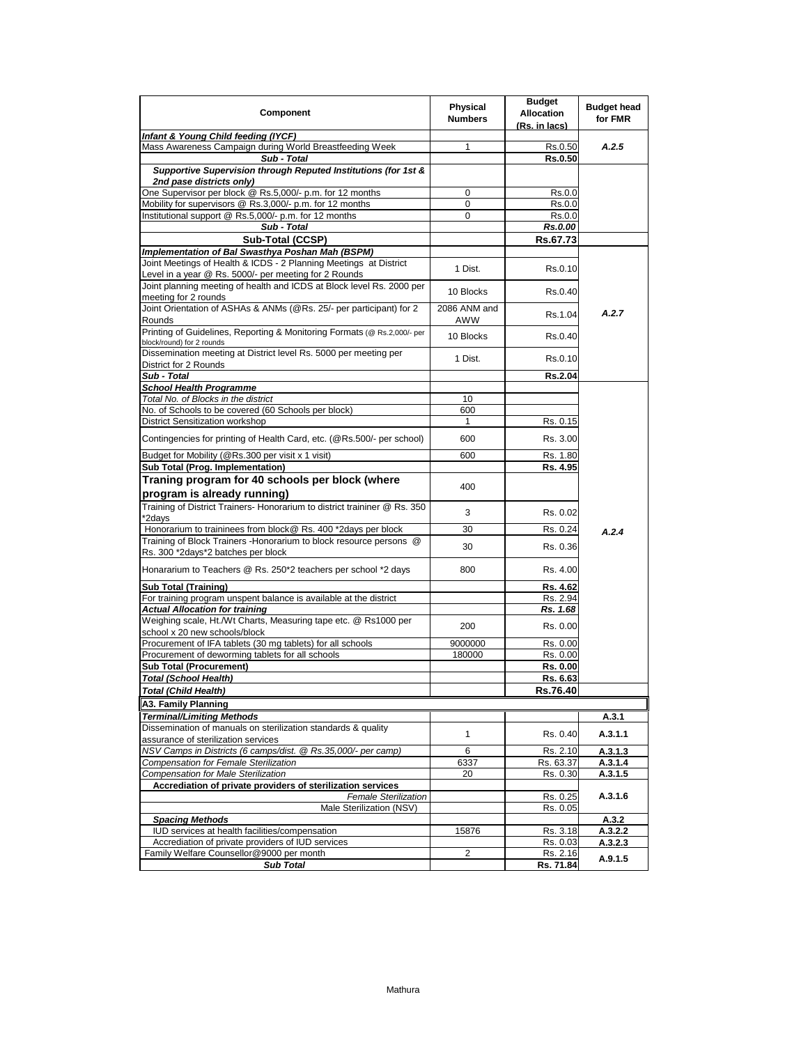| Component                                                                                                | Physical       | <b>Budget</b><br><b>Allocation</b> | <b>Budget head</b> |
|----------------------------------------------------------------------------------------------------------|----------------|------------------------------------|--------------------|
|                                                                                                          | <b>Numbers</b> | (Rs. in lacs)                      | for FMR            |
| Infant & Young Child feeding (IYCF)                                                                      |                |                                    |                    |
| Mass Awareness Campaign during World Breastfeeding Week                                                  | 1              | Rs.0.50                            | A.2.5              |
| Sub - Total                                                                                              |                | Rs.0.50                            |                    |
| Supportive Supervision through Reputed Institutions (for 1st &                                           |                |                                    |                    |
| 2nd pase districts only)<br>One Supervisor per block @ Rs.5,000/- p.m. for 12 months                     | 0              |                                    |                    |
| Mobility for supervisors @ Rs.3,000/- p.m. for 12 months                                                 | 0              | Rs.0.0<br>Rs.0.0                   |                    |
| Institutional support @ Rs.5,000/- p.m. for 12 months                                                    | 0              | Rs.0.0                             |                    |
| Sub - Total                                                                                              |                | Rs.0.00                            |                    |
| Sub-Total (CCSP)                                                                                         |                | Rs.67.73                           |                    |
| Implementation of Bal Swasthya Poshan Mah (BSPM)                                                         |                |                                    |                    |
| Joint Meetings of Health & ICDS - 2 Planning Meetings at District                                        |                |                                    |                    |
| Level in a year @ Rs. 5000/- per meeting for 2 Rounds                                                    | 1 Dist.        | Rs.0.10                            |                    |
| Joint planning meeting of health and ICDS at Block level Rs. 2000 per                                    | 10 Blocks      | Rs.0.40                            |                    |
| meeting for 2 rounds                                                                                     |                |                                    |                    |
| Joint Orientation of ASHAs & ANMs (@Rs. 25/- per participant) for 2                                      | 2086 ANM and   | Rs.1.04                            | A.2.7              |
| Rounds                                                                                                   | <b>AWW</b>     |                                    |                    |
| Printing of Guidelines, Reporting & Monitoring Formats (@ Rs.2,000/- per                                 | 10 Blocks      | Rs.0.40                            |                    |
| block/round) for 2 rounds<br>Dissemination meeting at District level Rs. 5000 per meeting per            |                |                                    |                    |
| District for 2 Rounds                                                                                    | 1 Dist.        | Rs.0.10                            |                    |
| Sub - Total                                                                                              |                | Rs.2.04                            |                    |
| <b>School Health Programme</b>                                                                           |                |                                    |                    |
| Total No. of Blocks in the district                                                                      | 10             |                                    |                    |
| No. of Schools to be covered (60 Schools per block)                                                      | 600            |                                    |                    |
| District Sensitization workshop                                                                          | 1              | Rs. 0.15                           |                    |
|                                                                                                          |                |                                    |                    |
| Contingencies for printing of Health Card, etc. (@Rs.500/- per school)                                   | 600            | Rs. 3.00                           |                    |
| Budget for Mobility (@Rs.300 per visit x 1 visit)                                                        | 600            | Rs. 1.80                           |                    |
| Sub Total (Prog. Implementation)                                                                         |                | Rs. 4.95                           |                    |
| Traning program for 40 schools per block (where                                                          |                |                                    |                    |
| program is already running)                                                                              | 400            |                                    |                    |
| Training of District Trainers- Honorarium to district traininer @ Rs. 350                                |                |                                    |                    |
| *2days                                                                                                   | 3              | Rs. 0.02                           |                    |
| Honorarium to traininees from block@ Rs. 400 *2days per block                                            | 30             | Rs. 0.24                           | A.2.4              |
| Training of Block Trainers - Honorarium to block resource persons @                                      | 30             | Rs. 0.36                           |                    |
| Rs. 300 *2days*2 batches per block                                                                       |                |                                    |                    |
| Honararium to Teachers @ Rs. 250*2 teachers per school *2 days                                           | 800            | Rs. 4.00                           |                    |
|                                                                                                          |                |                                    |                    |
| <b>Sub Total (Training)</b>                                                                              |                | Rs. 4.62                           |                    |
| For training program unspent balance is available at the district                                        |                | Rs. 2.94                           |                    |
| <b>Actual Allocation for training</b><br>Weighing scale, Ht./Wt Charts, Measuring tape etc. @ Rs1000 per |                | Rs. 1.68                           |                    |
| school x 20 new schools/block                                                                            | 200            | Rs. 0.00                           |                    |
| Procurement of IFA tablets (30 mg tablets) for all schools                                               | 9000000        | Rs. 0.00                           |                    |
| Procurement of deworming tablets for all schools                                                         | 180000         | Rs. 0.00                           |                    |
| <b>Sub Total (Procurement)</b>                                                                           |                | Rs. 0.00                           |                    |
| Total (School Health)                                                                                    |                | Rs. 6.63                           |                    |
| Total (Child Health)                                                                                     |                | Rs.76.40                           |                    |
| A3. Family Planning                                                                                      |                |                                    |                    |
| <b>Terminal/Limiting Methods</b>                                                                         |                |                                    | A.3.1              |
| Dissemination of manuals on sterilization standards & quality                                            |                |                                    |                    |
| assurance of sterilization services                                                                      | $\mathbf{1}$   | Rs. 0.40                           | A.3.1.1            |
| NSV Camps in Districts (6 camps/dist. @ Rs.35,000/- per camp)                                            | 6              | Rs. 2.10                           | A.3.1.3            |
| Compensation for Female Sterilization                                                                    | 6337           | Rs. 63.37                          | A.3.1.4            |
| Compensation for Male Sterilization                                                                      | 20             | Rs. 0.30                           | A.3.1.5            |
| Accrediation of private providers of sterilization services                                              |                |                                    |                    |
| <b>Female Sterilization</b>                                                                              |                | Rs. 0.25                           | A.3.1.6            |
| Male Sterilization (NSV)                                                                                 |                | Rs. 0.05                           |                    |
| <b>Spacing Methods</b>                                                                                   |                |                                    | A.3.2              |
| IUD services at health facilities/compensation                                                           | 15876          | Rs. 3.18                           | A.3.2.2            |
| Accrediation of private providers of IUD services                                                        |                | Rs. 0.03                           | A.3.2.3            |
| Family Welfare Counsellor@9000 per month<br><b>Sub Total</b>                                             | 2              | Rs. 2.16<br>Rs. 71.84              | A.9.1.5            |
|                                                                                                          |                |                                    |                    |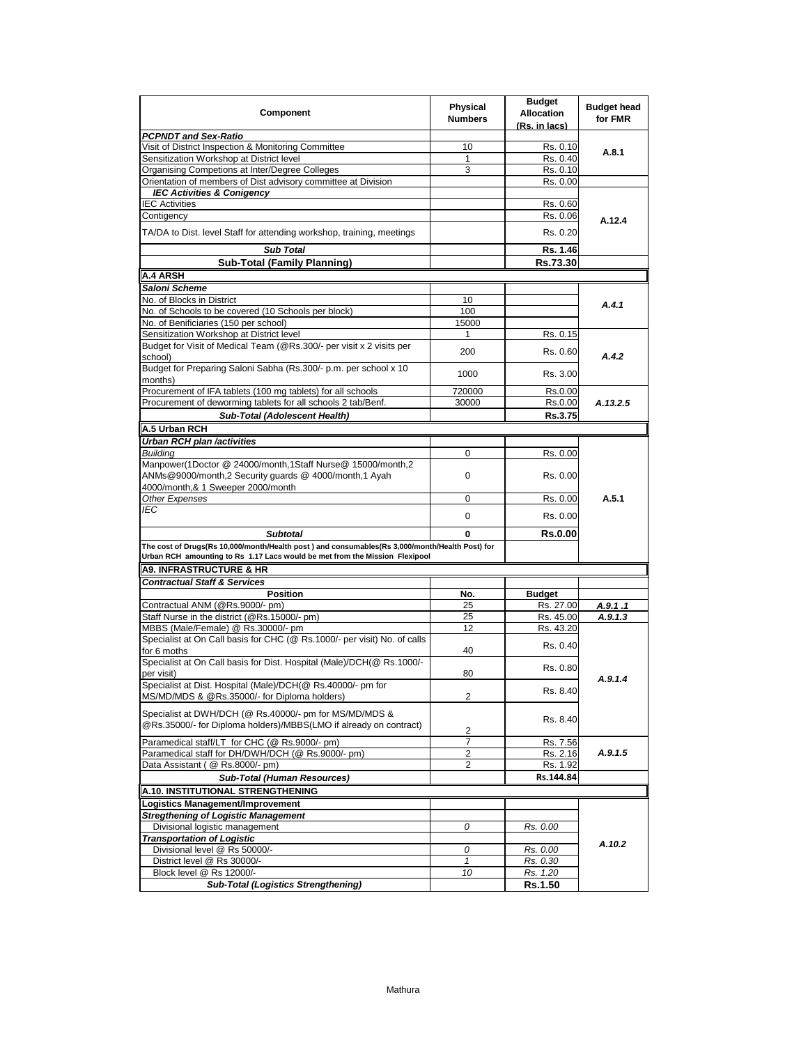| Component                                                                                                                                                                     | <b>Physical</b><br><b>Numbers</b> | <b>Budget</b><br><b>Allocation</b><br>(Rs. in lacs) | <b>Budget head</b><br>for FMR |
|-------------------------------------------------------------------------------------------------------------------------------------------------------------------------------|-----------------------------------|-----------------------------------------------------|-------------------------------|
| <b>PCPNDT and Sex-Ratio</b>                                                                                                                                                   |                                   |                                                     |                               |
| Visit of District Inspection & Monitoring Committee                                                                                                                           | 10                                | Rs. 0.10                                            | A.8.1                         |
| Sensitization Workshop at District level                                                                                                                                      | 1                                 | Rs. 0.40                                            |                               |
| Organising Competions at Inter/Degree Colleges                                                                                                                                | 3                                 | Rs. 0.10                                            |                               |
| Orientation of members of Dist advisory committee at Division                                                                                                                 |                                   | Rs. 0.00                                            |                               |
| <b>IEC Activities &amp; Conigency</b>                                                                                                                                         |                                   |                                                     |                               |
| <b>IEC Activities</b>                                                                                                                                                         |                                   | Rs. 0.60                                            |                               |
| Contigency                                                                                                                                                                    |                                   | Rs. 0.06                                            | A.12.4                        |
| TA/DA to Dist. level Staff for attending workshop, training, meetings                                                                                                         |                                   | Rs. 0.20                                            |                               |
| <b>Sub Total</b>                                                                                                                                                              |                                   | Rs. 1.46                                            |                               |
| <b>Sub-Total (Family Planning)</b>                                                                                                                                            |                                   | Rs.73.30                                            |                               |
| <b>A.4 ARSH</b>                                                                                                                                                               |                                   |                                                     |                               |
| Saloni Scheme                                                                                                                                                                 |                                   |                                                     |                               |
| No. of Blocks in District                                                                                                                                                     | 10                                |                                                     |                               |
| No. of Schools to be covered (10 Schools per block)                                                                                                                           | 100                               |                                                     | A.4.1                         |
| No. of Benificiaries (150 per school)                                                                                                                                         | 15000                             |                                                     |                               |
| Sensitization Workshop at District level                                                                                                                                      | 1                                 | Rs. 0.15                                            |                               |
| Budget for Visit of Medical Team (@Rs.300/- per visit x 2 visits per                                                                                                          |                                   |                                                     |                               |
| school)                                                                                                                                                                       | 200                               | Rs. 0.60                                            | A.4.2                         |
| Budget for Preparing Saloni Sabha (Rs.300/- p.m. per school x 10<br>months)                                                                                                   | 1000                              | Rs. 3.00                                            |                               |
| Procurement of IFA tablets (100 mg tablets) for all schools                                                                                                                   | 720000                            | Rs.0.00                                             |                               |
| Procurement of deworming tablets for all schools 2 tab/Benf.                                                                                                                  | 30000                             | Rs.0.00                                             | A.13.2.5                      |
| Sub-Total (Adolescent Health)                                                                                                                                                 |                                   | Rs.3.75                                             |                               |
| A.5 Urban RCH                                                                                                                                                                 |                                   |                                                     |                               |
| Urban RCH plan /activities                                                                                                                                                    |                                   |                                                     |                               |
| <b>Building</b>                                                                                                                                                               | 0                                 | Rs. 0.00                                            |                               |
| Manpower(1Doctor @ 24000/month,1Staff Nurse@ 15000/month,2<br>ANMs@9000/month,2 Security quards @ 4000/month,1 Ayah                                                           | 0                                 | Rs. 0.00                                            |                               |
| 4000/month,& 1 Sweeper 2000/month                                                                                                                                             |                                   |                                                     |                               |
| <b>Other Expenses</b>                                                                                                                                                         | 0                                 |                                                     | A.5.1                         |
| IEC                                                                                                                                                                           |                                   | Rs. 0.00                                            |                               |
|                                                                                                                                                                               | 0                                 | Rs. 0.00                                            |                               |
| <b>Subtotal</b>                                                                                                                                                               | 0                                 | Rs.0.00                                             |                               |
| The cost of Drugs(Rs 10,000/month/Health post) and consumables(Rs 3,000/month/Health Post) for<br>Urban RCH amounting to Rs 1.17 Lacs would be met from the Mission Flexipool |                                   |                                                     |                               |
| <b>A9. INFRASTRUCTURE &amp; HR</b>                                                                                                                                            |                                   |                                                     |                               |
| <b>Contractual Staff &amp; Services</b>                                                                                                                                       |                                   |                                                     |                               |
| <b>Position</b>                                                                                                                                                               | No.                               | <b>Budget</b>                                       |                               |
| Contractual ANM (@Rs.9000/- pm)                                                                                                                                               | 25                                | Rs. 27.00                                           | A.9.1.1                       |
| Staff Nurse in the district (@Rs.15000/- pm)                                                                                                                                  | 25                                | Rs. 45.00                                           | A.9.1.3                       |
| MBBS (Male/Female) @ Rs.30000/- pm                                                                                                                                            | 12                                | Rs. 43.20                                           |                               |
| Specialist at On Call basis for CHC (@ Rs.1000/- per visit) No. of calls                                                                                                      |                                   |                                                     |                               |
| for 6 moths                                                                                                                                                                   | 40                                | Rs. 0.40                                            |                               |
| Specialist at On Call basis for Dist. Hospital (Male)/DCH(@ Rs.1000/-                                                                                                         |                                   |                                                     |                               |
| per visit)                                                                                                                                                                    | 80                                | Rs. 0.80                                            | A.9.1.4                       |
| Specialist at Dist. Hospital (Male)/DCH(@ Rs.40000/- pm for<br>MS/MD/MDS & @Rs.35000/- for Diploma holders)                                                                   | 2                                 | Rs. 8.40                                            |                               |
|                                                                                                                                                                               |                                   |                                                     |                               |
| Specialist at DWH/DCH (@ Rs.40000/- pm for MS/MD/MDS &<br>@Rs.35000/- for Diploma holders)/MBBS(LMO if already on contract)                                                   | $\overline{c}$                    | Rs. 8.40                                            |                               |
| Paramedical staff/LT for CHC (@ Rs.9000/- pm)                                                                                                                                 | 7                                 | Rs. 7.56                                            |                               |
| Paramedical staff for DH/DWH/DCH (@ Rs.9000/- pm)                                                                                                                             | $\overline{2}$                    | Rs. 2.16                                            | A.9.1.5                       |
| Data Assistant ( @ Rs.8000/- pm)                                                                                                                                              | 2                                 |                                                     |                               |
|                                                                                                                                                                               |                                   | Rs. 1.92                                            |                               |
| <b>Sub-Total (Human Resources)</b>                                                                                                                                            |                                   | Rs.144.84                                           |                               |
| A.10. INSTITUTIONAL STRENGTHENING                                                                                                                                             |                                   |                                                     |                               |
| Logistics Management/Improvement                                                                                                                                              |                                   |                                                     |                               |
| <b>Stregthening of Logistic Management</b>                                                                                                                                    |                                   |                                                     |                               |
| Divisional logistic management                                                                                                                                                | 0                                 | Rs. 0.00                                            |                               |
| <b>Transportation of Logistic</b>                                                                                                                                             |                                   |                                                     | A.10.2                        |
| Divisional level @ Rs 50000/-                                                                                                                                                 | 0                                 | Rs. 0.00                                            |                               |
| District level @ Rs 30000/-                                                                                                                                                   | 1                                 | Rs. 0.30                                            |                               |
| Block level @ Rs 12000/-                                                                                                                                                      | 10                                | Rs. 1.20                                            |                               |
| <b>Sub-Total (Logistics Strengthening)</b>                                                                                                                                    |                                   | Rs.1.50                                             |                               |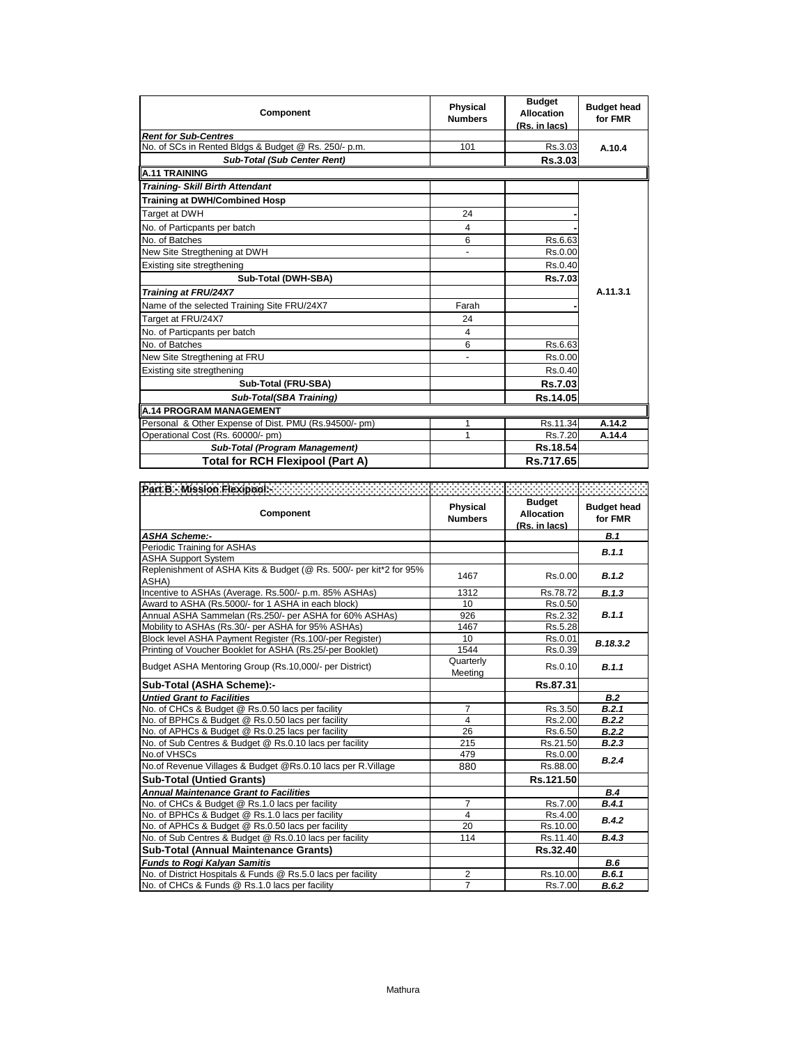| Component                                             | <b>Physical</b><br><b>Numbers</b> | <b>Budget</b><br><b>Allocation</b><br>(Rs. in lacs) | <b>Budget head</b><br>for FMR |
|-------------------------------------------------------|-----------------------------------|-----------------------------------------------------|-------------------------------|
| <b>Rent for Sub-Centres</b>                           |                                   |                                                     |                               |
| No. of SCs in Rented Bldgs & Budget @ Rs. 250/- p.m.  | 101                               | Rs.3.03                                             | A.10.4                        |
| <b>Sub-Total (Sub Center Rent)</b>                    |                                   | Rs.3.03                                             |                               |
| <b>A.11 TRAINING</b>                                  |                                   |                                                     |                               |
| <b>Training- Skill Birth Attendant</b>                |                                   |                                                     |                               |
| <b>Training at DWH/Combined Hosp</b>                  |                                   |                                                     |                               |
| Target at DWH                                         | 24                                |                                                     |                               |
| No. of Particpants per batch                          | 4                                 |                                                     |                               |
| No. of Batches                                        | 6                                 | Rs.6.63                                             |                               |
| New Site Stregthening at DWH                          |                                   | Rs.0.00                                             |                               |
| Existing site stregthening                            |                                   | Rs.0.40                                             |                               |
| Sub-Total (DWH-SBA)                                   |                                   | <b>Rs.7.03</b>                                      |                               |
| Training at FRU/24X7                                  |                                   |                                                     | A.11.3.1                      |
| Name of the selected Training Site FRU/24X7           | Farah                             |                                                     |                               |
| Target at FRU/24X7                                    | 24                                |                                                     |                               |
| No. of Particpants per batch                          | 4                                 |                                                     |                               |
| No. of Batches                                        | 6                                 | Rs.6.63                                             |                               |
| New Site Stregthening at FRU                          |                                   | Rs.0.00                                             |                               |
| Existing site stregthening                            |                                   | Rs.0.40                                             |                               |
| Sub-Total (FRU-SBA)                                   |                                   | Rs.7.03                                             |                               |
| Sub-Total(SBA Training)                               |                                   | Rs.14.05                                            |                               |
| <b>A.14 PROGRAM MANAGEMENT</b>                        |                                   |                                                     |                               |
| Personal & Other Expense of Dist. PMU (Rs.94500/- pm) | 1                                 | Rs.11.34                                            | A.14.2                        |
| Operational Cost (Rs. 60000/- pm)                     | 1                                 | Rs.7.20                                             | A.14.4                        |
| Sub-Total (Program Management)                        |                                   | Rs.18.54                                            |                               |
| Total for RCH Flexipool (Part A)                      |                                   | Rs.717.65                                           |                               |

| Component                                                                   | Physical<br><b>Numbers</b> | <b>Budget</b><br><b>Allocation</b><br>(Rs. in lacs) | <b>Budget head</b><br>for FMR |
|-----------------------------------------------------------------------------|----------------------------|-----------------------------------------------------|-------------------------------|
| <b>ASHA Scheme:-</b>                                                        |                            |                                                     | B.1                           |
| Periodic Training for ASHAs                                                 |                            |                                                     | B.1.1                         |
| <b>ASHA Support System</b>                                                  |                            |                                                     |                               |
| Replenishment of ASHA Kits & Budget (@ Rs. 500/- per kit*2 for 95%<br>ASHA) | 1467                       | Rs.0.00                                             | B.1.2                         |
| Incentive to ASHAs (Average. Rs.500/- p.m. 85% ASHAs)                       | 1312                       | Rs.78.72                                            | B.1.3                         |
| Award to ASHA (Rs.5000/- for 1 ASHA in each block)                          | 10                         | Rs.0.50                                             |                               |
| Annual ASHA Sammelan (Rs.250/- per ASHA for 60% ASHAs)                      | 926                        | Rs.2.32                                             | B.1.1                         |
| Mobility to ASHAs (Rs.30/- per ASHA for 95% ASHAs)                          | 1467                       | Rs.5.28                                             |                               |
| Block level ASHA Payment Register (Rs.100/-per Register)                    | 10                         | Rs.0.01                                             | B.18.3.2                      |
| Printing of Voucher Booklet for ASHA (Rs.25/-per Booklet)                   | 1544                       | Rs.0.39                                             |                               |
| Budget ASHA Mentoring Group (Rs.10,000/- per District)                      | Quarterly<br>Meeting       | Rs.0.10                                             | B.1.1                         |
| Sub-Total (ASHA Scheme):-                                                   |                            | Rs.87.31                                            |                               |
| <b>Untied Grant to Facilities</b>                                           |                            |                                                     | B.2                           |
| No. of CHCs & Budget @ Rs.0.50 lacs per facility                            | $\overline{7}$             | Rs.3.50                                             | B.2.1                         |
| No. of BPHCs & Budget @ Rs.0.50 lacs per facility                           | 4                          | Rs.2.00                                             | B.2.2                         |
| No. of APHCs & Budget @ Rs.0.25 lacs per facility                           | 26                         | Rs.6.50                                             | B.2.2                         |
| No. of Sub Centres & Budget @ Rs.0.10 lacs per facility                     | 215                        | Rs.21.50                                            | B.2.3                         |
| No.of VHSCs                                                                 | 479                        | Rs.0.00                                             | B.2.4                         |
| No.of Revenue Villages & Budget @Rs.0.10 lacs per R.Village                 | 880                        | Rs.88.00                                            |                               |
| <b>Sub-Total (Untied Grants)</b>                                            |                            | Rs.121.50                                           |                               |
| <b>Annual Maintenance Grant to Facilities</b>                               |                            |                                                     | B.4                           |
| No. of CHCs & Budget @ Rs.1.0 lacs per facility                             | 7                          | Rs.7.00                                             | B.4.1                         |
| No. of BPHCs & Budget @ Rs.1.0 lacs per facility                            | 4                          | Rs.4.00                                             | B.4.2                         |
| No. of APHCs & Budget @ Rs.0.50 lacs per facility                           | 20                         | Rs.10.00                                            |                               |
| No. of Sub Centres & Budget @ Rs.0.10 lacs per facility                     | 114                        | Rs.11.40                                            | B.4.3                         |
| <b>Sub-Total (Annual Maintenance Grants)</b>                                |                            | Rs.32.40                                            |                               |
| <b>Funds to Rogi Kalyan Samitis</b>                                         |                            |                                                     | <b>B.6</b>                    |
| No. of District Hospitals & Funds @ Rs.5.0 lacs per facility                | $\overline{2}$             | Rs.10.00                                            | B.6.1                         |
| No. of CHCs & Funds @ Rs.1.0 lacs per facility                              | $\overline{7}$             | Rs.7.00                                             | B.6.2                         |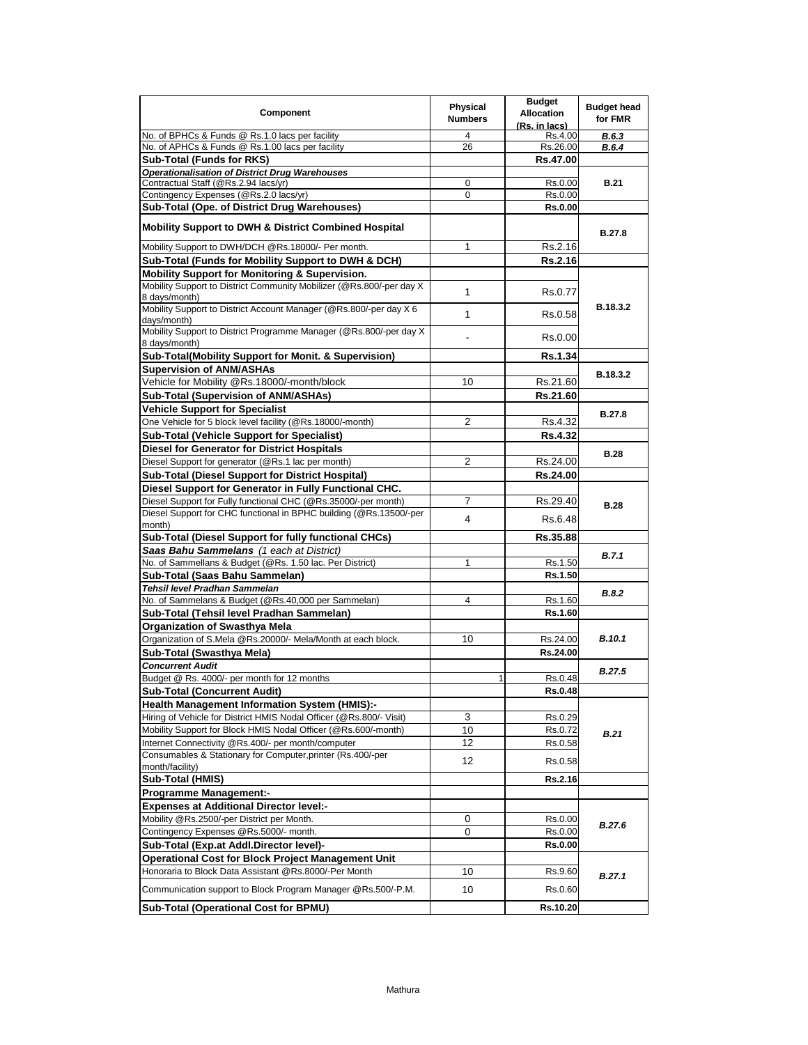| Component                                                                              | Physical<br><b>Numbers</b> | <b>Budget</b><br><b>Allocation</b><br>(Rs. in lacs) | <b>Budget head</b><br>for FMR |
|----------------------------------------------------------------------------------------|----------------------------|-----------------------------------------------------|-------------------------------|
| No. of BPHCs & Funds @ Rs.1.0 lacs per facility                                        | 4                          | Rs.4.00                                             | B.6.3                         |
| No. of APHCs & Funds @ Rs.1.00 lacs per facility                                       | 26                         | Rs.26.00                                            | B.6.4                         |
| <b>Sub-Total (Funds for RKS)</b>                                                       |                            | Rs.47.00                                            |                               |
| <b>Operationalisation of District Drug Warehouses</b>                                  |                            |                                                     |                               |
| Contractual Staff (@Rs.2.94 lacs/yr)                                                   | 0                          | Rs.0.00                                             | <b>B.21</b>                   |
| Contingency Expenses (@Rs.2.0 lacs/yr)                                                 | 0                          | Rs.0.00                                             |                               |
| Sub-Total (Ope. of District Drug Warehouses)                                           |                            | <b>Rs.0.00</b>                                      |                               |
| <b>Mobility Support to DWH &amp; District Combined Hospital</b>                        |                            |                                                     | <b>B.27.8</b>                 |
| Mobility Support to DWH/DCH @Rs.18000/- Per month.                                     | 1                          | Rs.2.16                                             |                               |
| Sub-Total (Funds for Mobility Support to DWH & DCH)                                    |                            | Rs.2.16                                             |                               |
| <b>Mobility Support for Monitoring &amp; Supervision.</b>                              |                            |                                                     |                               |
| Mobility Support to District Community Mobilizer (@Rs.800/-per day X)<br>8 days/month) | 1                          | Rs.0.77                                             |                               |
| Mobility Support to District Account Manager (@Rs.800/-per day X 6<br>days/month)      | 1                          | Rs.0.58                                             | B.18.3.2                      |
| Mobility Support to District Programme Manager (@Rs.800/-per day X<br>8 days/month)    | ٠                          | Rs.0.00                                             |                               |
| Sub-Total(Mobility Support for Monit. & Supervision)                                   |                            | Rs.1.34                                             |                               |
| <b>Supervision of ANM/ASHAs</b>                                                        |                            |                                                     |                               |
| Vehicle for Mobility @Rs.18000/-month/block                                            | 10                         | Rs.21.60                                            | B.18.3.2                      |
| Sub-Total (Supervision of ANM/ASHAs)                                                   |                            | Rs.21.60                                            |                               |
| <b>Vehicle Support for Specialist</b>                                                  |                            |                                                     |                               |
| One Vehicle for 5 block level facility (@Rs.18000/-month)                              | 2                          | Rs.4.32                                             | <b>B.27.8</b>                 |
| <b>Sub-Total (Vehicle Support for Specialist)</b>                                      |                            | <b>Rs.4.32</b>                                      |                               |
| <b>Diesel for Generator for District Hospitals</b>                                     |                            |                                                     |                               |
| Diesel Support for generator (@Rs.1 lac per month)                                     | $\overline{2}$             | Rs.24.00                                            | <b>B.28</b>                   |
| Sub-Total (Diesel Support for District Hospital)                                       |                            | Rs.24.00                                            |                               |
| Diesel Support for Generator in Fully Functional CHC.                                  |                            |                                                     |                               |
| Diesel Support for Fully functional CHC (@Rs.35000/-per month)                         | 7                          | Rs.29.40                                            |                               |
| Diesel Support for CHC functional in BPHC building (@Rs.13500/-per                     |                            |                                                     | <b>B.28</b>                   |
| month)                                                                                 | 4                          | Rs.6.48                                             |                               |
| Sub-Total (Diesel Support for fully functional CHCs)                                   |                            | Rs.35.88                                            |                               |
| Saas Bahu Sammelans (1 each at District)                                               |                            |                                                     | <b>B.7.1</b>                  |
| No. of Sammellans & Budget (@Rs. 1.50 lac. Per District)                               | 1                          | Rs.1.50                                             |                               |
| Sub-Total (Saas Bahu Sammelan)                                                         |                            | Rs.1.50                                             |                               |
| Tehsil level Pradhan Sammelan                                                          |                            |                                                     | <b>B.8.2</b>                  |
| No. of Sammelans & Budget (@Rs.40,000 per Sammelan)                                    | 4                          | Rs.1.60                                             |                               |
| Sub-Total (Tehsil level Pradhan Sammelan)                                              |                            | Rs.1.60                                             |                               |
| <b>Organization of Swasthya Mela</b>                                                   |                            |                                                     |                               |
| Organization of S.Mela @Rs.20000/- Mela/Month at each block.                           | 10                         | Rs.24.00                                            | <b>B.10.1</b>                 |
| Sub-Total (Swasthya Mela)                                                              |                            | Rs.24.00                                            |                               |
| <b>Concurrent Audit</b>                                                                |                            |                                                     | <b>B.27.5</b>                 |
| Budget @ Rs. 4000/- per month for 12 months                                            | 1                          | Rs.0.48                                             |                               |
| <b>Sub-Total (Concurrent Audit)</b>                                                    |                            | Rs.0.48                                             |                               |
| Health Management Information System (HMIS):-                                          |                            |                                                     |                               |
| Hiring of Vehicle for District HMIS Nodal Officer (@Rs.800/- Visit)                    | 3                          | Rs.0.29                                             |                               |
| Mobility Support for Block HMIS Nodal Officer (@Rs.600/-month)                         | 10                         | Rs.0.72                                             | <b>B.21</b>                   |
| Internet Connectivity @Rs.400/- per month/computer                                     | 12                         | Rs.0.58                                             |                               |
| Consumables & Stationary for Computer, printer (Rs.400/-per                            | 12                         | Rs.0.58                                             |                               |
| month/facility)                                                                        |                            |                                                     |                               |
| Sub-Total (HMIS)                                                                       |                            | <b>Rs.2.16</b>                                      |                               |
| <b>Programme Management:-</b>                                                          |                            |                                                     |                               |
| <b>Expenses at Additional Director level:-</b>                                         |                            |                                                     |                               |
| Mobility @Rs.2500/-per District per Month.                                             | 0                          | Rs.0.00                                             | <b>B.27.6</b>                 |
| Contingency Expenses @Rs.5000/- month.                                                 | 0                          | Rs.0.00                                             |                               |
| Sub-Total (Exp.at Addl.Director level)-                                                |                            | <b>Rs.0.00</b>                                      |                               |
| <b>Operational Cost for Block Project Management Unit</b>                              |                            |                                                     |                               |
| Honoraria to Block Data Assistant @Rs.8000/-Per Month                                  | 10                         | Rs.9.60                                             | B.27.1                        |
| Communication support to Block Program Manager @Rs.500/-P.M.                           | 10                         | Rs.0.60                                             |                               |
| Sub-Total (Operational Cost for BPMU)                                                  |                            | Rs.10.20                                            |                               |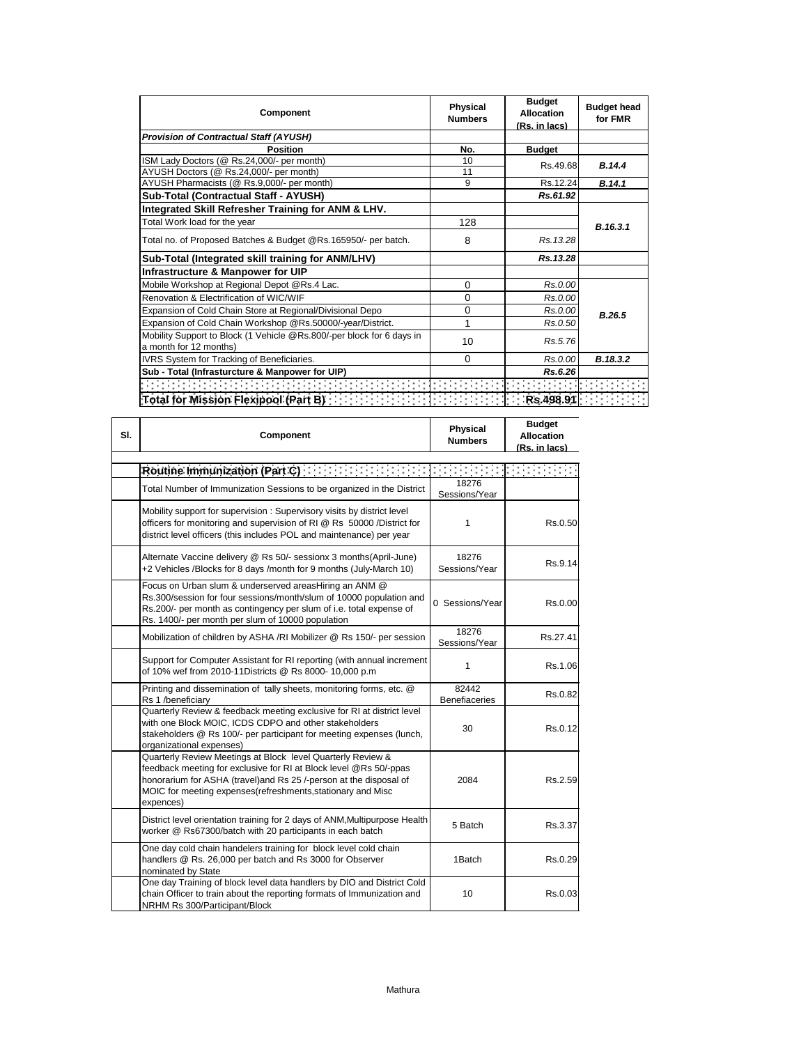| Component                                                                                       | <b>Physical</b><br><b>Numbers</b> | <b>Budget</b><br>Allocation<br>(Rs. in lacs) | <b>Budget head</b><br>for FMR |
|-------------------------------------------------------------------------------------------------|-----------------------------------|----------------------------------------------|-------------------------------|
| <b>Provision of Contractual Staff (AYUSH)</b>                                                   |                                   |                                              |                               |
| <b>Position</b>                                                                                 | No.                               | <b>Budget</b>                                |                               |
| ISM Lady Doctors (@ Rs.24,000/- per month)                                                      | 10                                | Rs.49.68                                     | <b>B.14.4</b>                 |
| AYUSH Doctors (@ Rs.24,000/- per month)                                                         | 11                                |                                              |                               |
| AYUSH Pharmacists (@ Rs.9,000/- per month)                                                      | 9                                 | Rs.12.24                                     | B.14.1                        |
| Sub-Total (Contractual Staff - AYUSH)                                                           |                                   | Rs.61.92                                     |                               |
| Integrated Skill Refresher Training for ANM & LHV.                                              |                                   |                                              |                               |
| Total Work load for the year                                                                    | 128                               |                                              | B.16.3.1                      |
| Total no. of Proposed Batches & Budget @Rs.165950/- per batch.                                  | 8                                 | Rs. 13.28                                    |                               |
| Sub-Total (Integrated skill training for ANM/LHV)                                               |                                   | Rs.13.28                                     |                               |
| Infrastructure & Manpower for UIP                                                               |                                   |                                              |                               |
| Mobile Workshop at Regional Depot @Rs.4 Lac.                                                    | $\Omega$                          | Rs.0.00                                      |                               |
| Renovation & Electrification of WIC/WIF                                                         | $\Omega$                          | Rs.0.00                                      |                               |
| Expansion of Cold Chain Store at Regional/Divisional Depo                                       | $\Omega$                          | Rs.0.00                                      | B.26.5                        |
| Expansion of Cold Chain Workshop @Rs.50000/-year/District.                                      | 1                                 | Rs.0.50                                      |                               |
| Mobility Support to Block (1 Vehicle @Rs.800/-per block for 6 days in<br>a month for 12 months) | 10                                | Rs.5.76                                      |                               |
| IVRS System for Tracking of Beneficiaries.                                                      | $\Omega$                          | Rs.0.00                                      | B.18.3.2                      |
| Sub - Total (Infrasturcture & Manpower for UIP)                                                 |                                   | Rs.6.26                                      |                               |
| de en entre en en en en en en                                                                   |                                   |                                              |                               |
| <b>Total for Mission Flexipool (Part B)</b>                                                     |                                   | Rs.498.91                                    |                               |

| SI. | <b>Component</b>                                                                                                                                                                                                                                                                   | <b>Physical</b><br><b>Numbers</b> | <b>Budget</b><br><b>Allocation</b><br>(Rs. in lacs) |
|-----|------------------------------------------------------------------------------------------------------------------------------------------------------------------------------------------------------------------------------------------------------------------------------------|-----------------------------------|-----------------------------------------------------|
|     | Routine Immunization (Part C)                                                                                                                                                                                                                                                      |                                   |                                                     |
|     | Total Number of Immunization Sessions to be organized in the District                                                                                                                                                                                                              | 18276<br>Sessions/Year            |                                                     |
|     | Mobility support for supervision: Supervisory visits by district level<br>officers for monitoring and supervision of RI @ Rs 50000 /District for<br>district level officers (this includes POL and maintenance) per year                                                           | 1                                 | Rs.0.50                                             |
|     | Alternate Vaccine delivery @ Rs 50/- sessionx 3 months(April-June)<br>+2 Vehicles /Blocks for 8 days /month for 9 months (July-March 10)                                                                                                                                           | 18276<br>Sessions/Year            | Rs.9.14                                             |
|     | Focus on Urban slum & underserved areasHiring an ANM @<br>Rs.300/session for four sessions/month/slum of 10000 population and<br>Rs.200/- per month as contingency per slum of i.e. total expense of<br>Rs. 1400/- per month per slum of 10000 population                          | 0 Sessions/Year                   | Rs.0.00                                             |
|     | Mobilization of children by ASHA /RI Mobilizer @ Rs 150/- per session                                                                                                                                                                                                              | 18276<br>Sessions/Year            | Rs.27.41                                            |
|     | Support for Computer Assistant for RI reporting (with annual increment<br>of 10% wef from 2010-11Districts @ Rs 8000-10,000 p.m                                                                                                                                                    | 1                                 | Rs.1.06                                             |
|     | Printing and dissemination of tally sheets, monitoring forms, etc. @<br>Rs 1 /beneficiary                                                                                                                                                                                          | 82442<br><b>Benefiaceries</b>     | Rs.0.82                                             |
|     | Quarterly Review & feedback meeting exclusive for RI at district level<br>with one Block MOIC, ICDS CDPO and other stakeholders<br>stakeholders @ Rs 100/- per participant for meeting expenses (lunch,<br>organizational expenses)                                                | 30                                | Rs.0.12                                             |
|     | Quarterly Review Meetings at Block level Quarterly Review &<br>feedback meeting for exclusive for RI at Block level @Rs 50/-ppas<br>honorarium for ASHA (travel)and Rs 25 /-person at the disposal of<br>MOIC for meeting expenses (refreshments, stationary and Misc<br>expences) | 2084                              | Rs.2.59                                             |
|     | District level orientation training for 2 days of ANM, Multipurpose Health<br>worker @ Rs67300/batch with 20 participants in each batch                                                                                                                                            | 5 Batch                           | Rs.3.37                                             |
|     | One day cold chain handelers training for block level cold chain<br>handlers @ Rs. 26,000 per batch and Rs 3000 for Observer<br>nominated by State                                                                                                                                 | 1Batch                            | Rs.0.29                                             |
|     | One day Training of block level data handlers by DIO and District Cold<br>chain Officer to train about the reporting formats of Immunization and<br>NRHM Rs 300/Participant/Block                                                                                                  | 10                                | Rs.0.03                                             |

 $\mathbf{r}$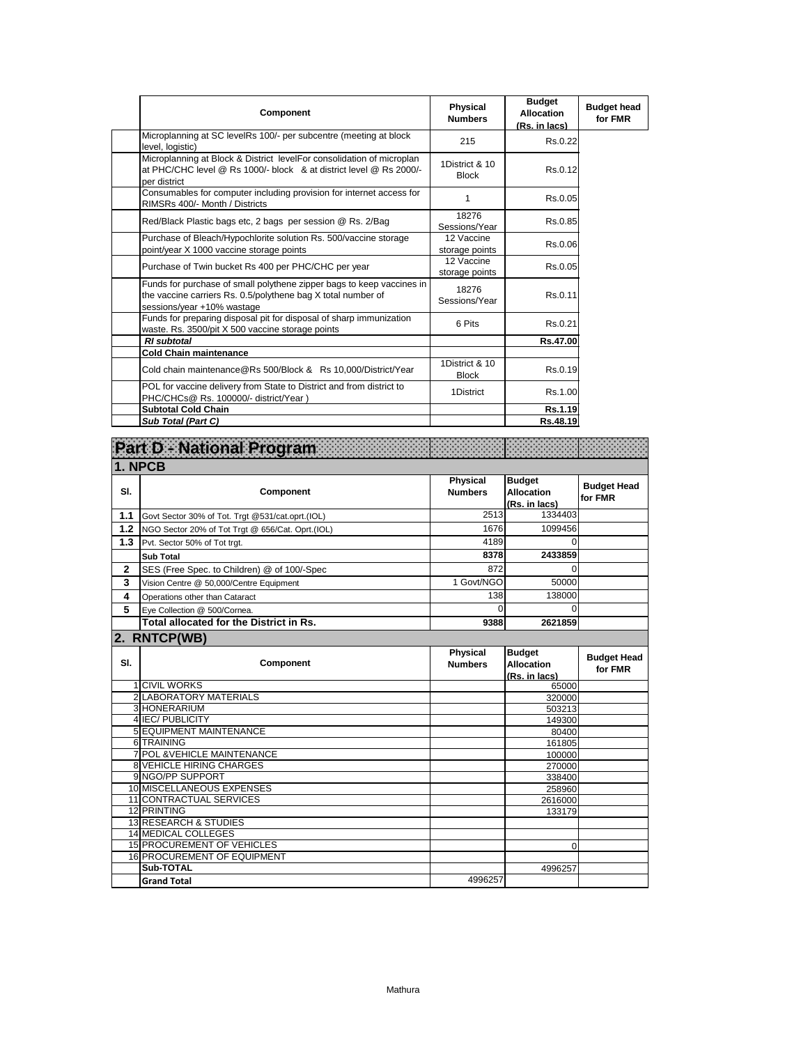| Component                                                                                                                                                           | Physical<br><b>Numbers</b>     | <b>Budget</b><br><b>Allocation</b><br>(Rs. in lacs) | <b>Budget head</b><br>for FMR |
|---------------------------------------------------------------------------------------------------------------------------------------------------------------------|--------------------------------|-----------------------------------------------------|-------------------------------|
| Microplanning at SC levelRs 100/- per subcentre (meeting at block<br>level, logistic)                                                                               | 215                            | Rs.0.22                                             |                               |
| Microplanning at Block & District levelFor consolidation of microplan<br>at PHC/CHC level @ Rs 1000/- block & at district level @ Rs 2000/-<br>per district         | 1District & 10<br><b>Block</b> | Rs.0.12                                             |                               |
| Consumables for computer including provision for internet access for<br>RIMSRs 400/- Month / Districts                                                              | 1                              | Rs.0.05                                             |                               |
| Red/Black Plastic bags etc, 2 bags per session @ Rs. 2/Bag                                                                                                          | 18276<br>Sessions/Year         | Rs.0.85                                             |                               |
| Purchase of Bleach/Hypochlorite solution Rs. 500/vaccine storage<br>point/year X 1000 vaccine storage points                                                        | 12 Vaccine<br>storage points   | Rs.0.06                                             |                               |
| Purchase of Twin bucket Rs 400 per PHC/CHC per year                                                                                                                 | 12 Vaccine<br>storage points   | Rs.0.05                                             |                               |
| Funds for purchase of small polythene zipper bags to keep vaccines in<br>the vaccine carriers Rs. 0.5/polythene bag X total number of<br>sessions/year +10% wastage | 18276<br>Sessions/Year         | Rs.0.11                                             |                               |
| Funds for preparing disposal pit for disposal of sharp immunization<br>waste. Rs. 3500/pit X 500 vaccine storage points                                             | 6 Pits                         | Rs.0.21                                             |                               |
| <b>RI</b> subtotal                                                                                                                                                  |                                | Rs.47.00                                            |                               |
| <b>Cold Chain maintenance</b>                                                                                                                                       |                                |                                                     |                               |
| Cold chain maintenance@Rs 500/Block & Rs 10,000/District/Year                                                                                                       | 1District & 10<br><b>Block</b> | Rs.0.19                                             |                               |
| POL for vaccine delivery from State to District and from district to<br>PHC/CHCs@ Rs. 100000/- district/Year)                                                       | 1District                      | Rs.1.00                                             |                               |
| <b>Subtotal Cold Chain</b>                                                                                                                                          |                                | Rs.1.19                                             |                               |
| Sub Total (Part C)                                                                                                                                                  |                                | Rs.48.19                                            |                               |

|                | Part D National Program                          |                                   |                                                     |                               |
|----------------|--------------------------------------------------|-----------------------------------|-----------------------------------------------------|-------------------------------|
| 1. NPCB        |                                                  |                                   |                                                     |                               |
| SI.            | Component                                        | Physical<br><b>Numbers</b>        | <b>Budget</b><br><b>Allocation</b><br>(Rs. in lacs) | <b>Budget Head</b><br>for FMR |
| 1.1            | Govt Sector 30% of Tot. Trgt @531/cat.oprt.(IOL) | 2513                              | 1334403                                             |                               |
| $1.2$          | NGO Sector 20% of Tot Trgt @ 656/Cat. Oprt.(IOL) | 1676                              | 1099456                                             |                               |
| 1.3            | Pvt. Sector 50% of Tot trgt.                     | 4189                              | $\Omega$                                            |                               |
|                | <b>Sub Total</b>                                 | 8378                              | 2433859                                             |                               |
| $\overline{2}$ | SES (Free Spec. to Children) @ of 100/-Spec      | 872                               | $\Omega$                                            |                               |
| 3              | Vision Centre @ 50,000/Centre Equipment          | 1 Govt/NGO                        | 50000                                               |                               |
| 4              | Operations other than Cataract                   | 138                               | 138000                                              |                               |
| 5              | Eye Collection @ 500/Cornea.                     | $\Omega$                          | $\Omega$                                            |                               |
|                | Total allocated for the District in Rs.          | 9388                              | 2621859                                             |                               |
|                | 2. RNTCP(WB)                                     |                                   |                                                     |                               |
| SI.            | Component                                        | <b>Physical</b><br><b>Numbers</b> | <b>Budget</b><br>Allocation<br>(Rs. in lacs)        | <b>Budget Head</b><br>for FMR |
|                | <b>1 CIVIL WORKS</b>                             |                                   | 65000                                               |                               |
|                |                                                  |                                   |                                                     |                               |
|                | <b>2 LABORATORY MATERIALS</b>                    |                                   | 320000                                              |                               |
|                | 3 HONERARIUM                                     |                                   | 503213                                              |                               |
|                | 4 IEC/PUBLICITY                                  |                                   | 149300                                              |                               |
|                | <b>5 EQUIPMENT MAINTENANCE</b>                   |                                   | 80400                                               |                               |
|                | 6 TRAINING                                       |                                   | 161805                                              |                               |
|                | <b>7 POL &amp; VEHICLE MAINTENANCE</b>           |                                   | 100000                                              |                               |
|                | <b>8 VEHICLE HIRING CHARGES</b>                  |                                   | 270000                                              |                               |
|                | 9 NGO/PP SUPPORT                                 |                                   | 338400                                              |                               |
|                | 10 MISCELLANEOUS EXPENSES                        |                                   | 258960                                              |                               |
|                | 11 CONTRACTUAL SERVICES                          |                                   | 2616000                                             |                               |
|                | 12 PRINTING<br><b>13 RESEARCH &amp; STUDIES</b>  |                                   | 133179                                              |                               |
|                | <b>14 MEDICAL COLLEGES</b>                       |                                   |                                                     |                               |
|                | <b>15 PROCUREMENT OF VEHICLES</b>                |                                   | $\Omega$                                            |                               |
|                | <b>16 PROCUREMENT OF EQUIPMENT</b>               |                                   |                                                     |                               |
|                | Sub-TOTAL<br><b>Grand Total</b>                  | 4996257                           | 4996257                                             |                               |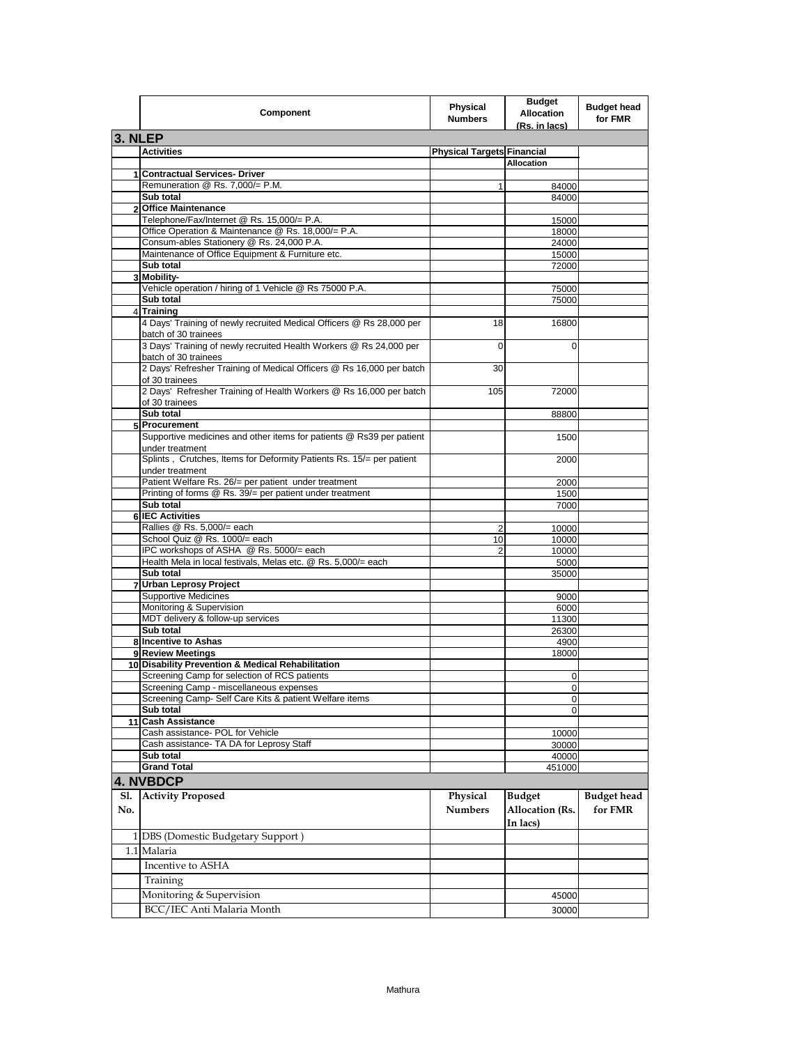|         | Component                                                                                    | Physical<br><b>Numbers</b>        | <b>Budget</b><br><b>Allocation</b> | <b>Budget head</b><br>for FMR |
|---------|----------------------------------------------------------------------------------------------|-----------------------------------|------------------------------------|-------------------------------|
| 3. NLEP |                                                                                              |                                   | <u>(Rs. in lacs)</u>               |                               |
|         | <b>Activities</b>                                                                            | <b>Physical Targets Financial</b> |                                    |                               |
|         |                                                                                              |                                   | <b>Allocation</b>                  |                               |
|         | 1 Contractual Services- Driver                                                               |                                   |                                    |                               |
|         | Remuneration @ Rs. 7,000/= P.M.                                                              | 1                                 | 84000                              |                               |
|         | Sub total                                                                                    |                                   | 84000                              |                               |
|         | 2 Office Maintenance                                                                         |                                   |                                    |                               |
|         | Telephone/Fax/Internet @ Rs. 15,000/= P.A.                                                   |                                   | 15000                              |                               |
|         | Office Operation & Maintenance @ Rs. 18,000/= P.A.                                           |                                   | 18000                              |                               |
|         | Consum-ables Stationery @ Rs. 24,000 P.A.                                                    |                                   | 24000                              |                               |
|         | Maintenance of Office Equipment & Furniture etc.                                             |                                   | 15000                              |                               |
|         | Sub total                                                                                    |                                   | 72000                              |                               |
|         | 3 Mobility-                                                                                  |                                   |                                    |                               |
|         | Vehicle operation / hiring of 1 Vehicle @ Rs 75000 P.A.                                      |                                   | 75000                              |                               |
|         | Sub total                                                                                    |                                   | 75000                              |                               |
|         | 4 Training                                                                                   |                                   |                                    |                               |
|         | 4 Days' Training of newly recruited Medical Officers @ Rs 28,000 per<br>batch of 30 trainees | 18                                | 16800                              |                               |
|         | 3 Days' Training of newly recruited Health Workers @ Rs 24,000 per<br>batch of 30 trainees   | $\mathbf 0$                       | $\Omega$                           |                               |
|         | 2 Days' Refresher Training of Medical Officers @ Rs 16,000 per batch<br>of 30 trainees       | 30                                |                                    |                               |
|         | 2 Days' Refresher Training of Health Workers @ Rs 16,000 per batch<br>of 30 trainees         | 105                               | 72000                              |                               |
|         | Sub total                                                                                    |                                   | 88800                              |                               |
|         | 5 Procurement                                                                                |                                   |                                    |                               |
|         | Supportive medicines and other items for patients @ Rs39 per patient<br>under treatment      |                                   | 1500                               |                               |
|         | Splints, Crutches, Items for Deformity Patients Rs. 15/= per patient<br>under treatment      |                                   | 2000                               |                               |
|         | Patient Welfare Rs. 26/= per patient under treatment                                         |                                   | 2000                               |                               |
|         | Printing of forms @ Rs. 39/= per patient under treatment                                     |                                   | 1500                               |                               |
|         | Sub total                                                                                    |                                   | 7000                               |                               |
|         | <b>6 IEC Activities</b>                                                                      |                                   |                                    |                               |
|         | Rallies @ Rs. 5,000/= each                                                                   | 2                                 | 10000                              |                               |
|         | School Quiz @ Rs. 1000/= each<br>IPC workshops of ASHA @ Rs. 5000/= each                     | 10                                | 10000                              |                               |
|         | Health Mela in local festivals, Melas etc. @ Rs. 5,000/= each                                | $\overline{2}$                    | 10000                              |                               |
|         | Sub total                                                                                    |                                   | 5000<br>35000                      |                               |
|         | 7 Urban Leprosy Project                                                                      |                                   |                                    |                               |
|         | <b>Supportive Medicines</b>                                                                  |                                   | 9000                               |                               |
|         | Monitoring & Supervision                                                                     |                                   | 6000                               |                               |
|         | MDT delivery & follow-up services                                                            |                                   | 11300                              |                               |
|         | Sub total                                                                                    |                                   | 26300                              |                               |
|         | 8 Incentive to Ashas                                                                         |                                   | 4900                               |                               |
|         | 9 Review Meetings                                                                            |                                   | 18000                              |                               |
|         | 10 Disability Prevention & Medical Rehabilitation                                            |                                   |                                    |                               |
|         | Screening Camp for selection of RCS patients                                                 |                                   | 0                                  |                               |
|         | Screening Camp - miscellaneous expenses                                                      |                                   | U                                  |                               |
|         | Screening Camp- Self Care Kits & patient Welfare items                                       |                                   | 0                                  |                               |
|         | Sub total                                                                                    |                                   | $\Omega$                           |                               |
|         | 11 Cash Assistance                                                                           |                                   |                                    |                               |
|         | Cash assistance- POL for Vehicle                                                             |                                   | 10000                              |                               |
|         | Cash assistance- TA DA for Leprosy Staff                                                     |                                   | 30000                              |                               |
|         | Sub total                                                                                    |                                   | 40000                              |                               |
|         | <b>Grand Total</b>                                                                           |                                   | 451000                             |                               |
|         | 4. NVBDCP                                                                                    |                                   |                                    |                               |
| Sl.     | <b>Activity Proposed</b>                                                                     | Physical                          | <b>Budget</b>                      | <b>Budget</b> head            |
| No.     |                                                                                              | <b>Numbers</b>                    | Allocation (Rs.<br>In lacs)        | for FMR                       |
|         | 1 DBS (Domestic Budgetary Support)                                                           |                                   |                                    |                               |
|         | 1.1 Malaria                                                                                  |                                   |                                    |                               |
|         | Incentive to ASHA                                                                            |                                   |                                    |                               |
|         | Training                                                                                     |                                   |                                    |                               |
|         | Monitoring & Supervision                                                                     |                                   |                                    |                               |
|         |                                                                                              |                                   | 45000                              |                               |
|         | BCC/IEC Anti Malaria Month                                                                   |                                   | 30000                              |                               |